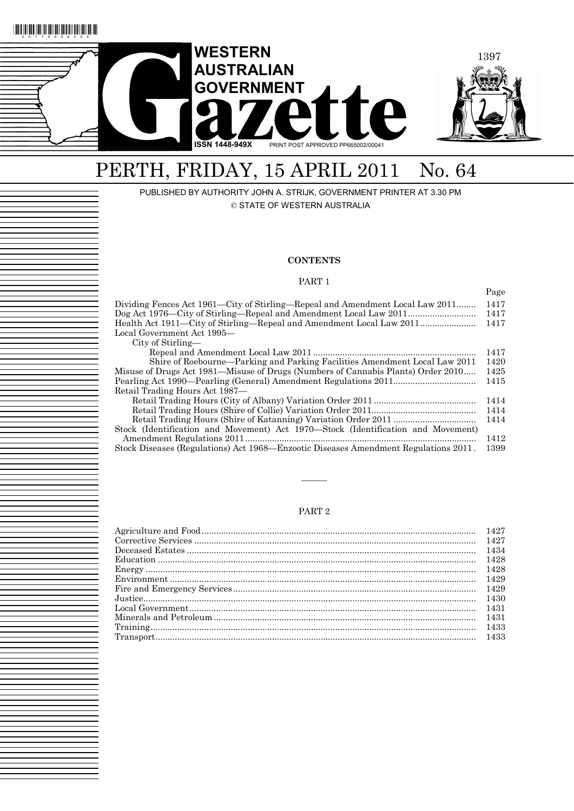

# PERTH, FRIDAY, 15 APRIL 2011 No. 64

PUBLISHED BY AUTHORITY JOHN A. STRIJK, GOVERNMENT PRINTER AT 3.30 PM

© STATE OF WESTERN AUSTRALIA

### **CONTENTS**

#### PART 1

Page

| Dividing Fences Act 1961—City of Stirling—Repeal and Amendment Local Law 2011       | 1417 |
|-------------------------------------------------------------------------------------|------|
|                                                                                     | 1417 |
| Health Act 1911—City of Stirling—Repeal and Amendment Local Law 2011                | 1417 |
| Local Government Act 1995—                                                          |      |
| City of Stirling—                                                                   |      |
|                                                                                     | 1417 |
| Shire of Roebourne—Parking and Parking Facilities Amendment Local Law 2011          | 1420 |
| Misuse of Drugs Act 1981—Misuse of Drugs (Numbers of Cannabis Plants) Order 2010    | 1425 |
|                                                                                     | 1415 |
| Retail Trading Hours Act 1987—                                                      |      |
|                                                                                     | 1414 |
|                                                                                     | 1414 |
|                                                                                     | 1414 |
| Stock (Identification and Movement) Act 1970-Stock (Identification and Movement)    |      |
|                                                                                     | 1412 |
| Stock Diseases (Regulations) Act 1968—Enzootic Diseases Amendment Regulations 2011. | 1399 |

### PART 2

———

| 1434 |
|------|
|      |
|      |
|      |
|      |
|      |
|      |
|      |
|      |
|      |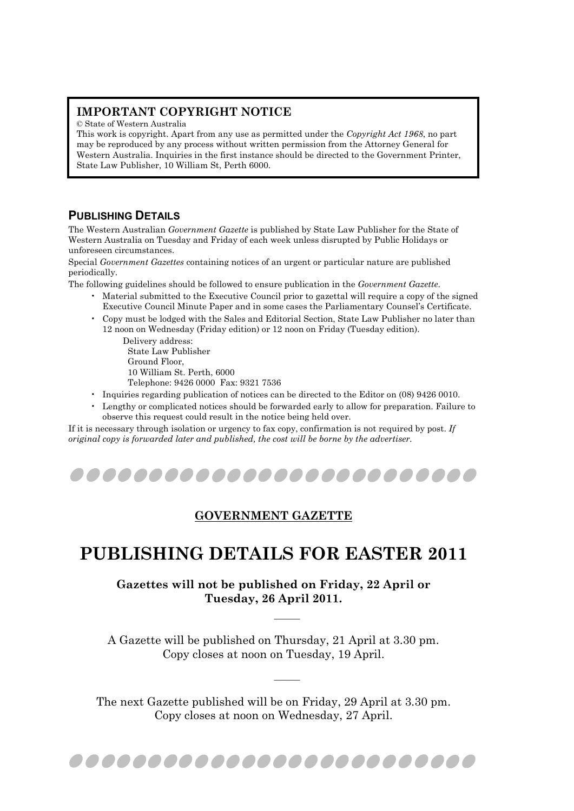### **IMPORTANT COPYRIGHT NOTICE**

© State of Western Australia

This work is copyright. Apart from any use as permitted under the *Copyright Act 1968*, no part may be reproduced by any process without written permission from the Attorney General for Western Australia. Inquiries in the first instance should be directed to the Government Printer, State Law Publisher, 10 William St, Perth 6000.

### **PUBLISHING DETAILS**

The Western Australian *Government Gazette* is published by State Law Publisher for the State of Western Australia on Tuesday and Friday of each week unless disrupted by Public Holidays or unforeseen circumstances.

Special *Government Gazettes* containing notices of an urgent or particular nature are published periodically.

The following guidelines should be followed to ensure publication in the *Government Gazette*.

- Material submitted to the Executive Council prior to gazettal will require a copy of the signed Executive Council Minute Paper and in some cases the Parliamentary Counsel's Certificate.
- Copy must be lodged with the Sales and Editorial Section, State Law Publisher no later than 12 noon on Wednesday (Friday edition) or 12 noon on Friday (Tuesday edition).

Delivery address: State Law Publisher Ground Floor, 10 William St. Perth, 6000 Telephone: 9426 0000 Fax: 9321 7536

- Inquiries regarding publication of notices can be directed to the Editor on (08) 9426 0010.
- Lengthy or complicated notices should be forwarded early to allow for preparation. Failure to observe this request could result in the notice being held over.

If it is necessary through isolation or urgency to fax copy, confirmation is not required by post. *If original copy is forwarded later and published, the cost will be borne by the advertiser.* 



### **GOVERNMENT GAZETTE**

## **PUBLISHING DETAILS FOR EASTER 2011**

**Gazettes will not be published on Friday, 22 April or Tuesday, 26 April 2011.** 

A Gazette will be published on Thursday, 21 April at 3.30 pm. Copy closes at noon on Tuesday, 19 April.

———

———

The next Gazette published will be on Friday, 29 April at 3.30 pm. Copy closes at noon on Wednesday, 27 April.

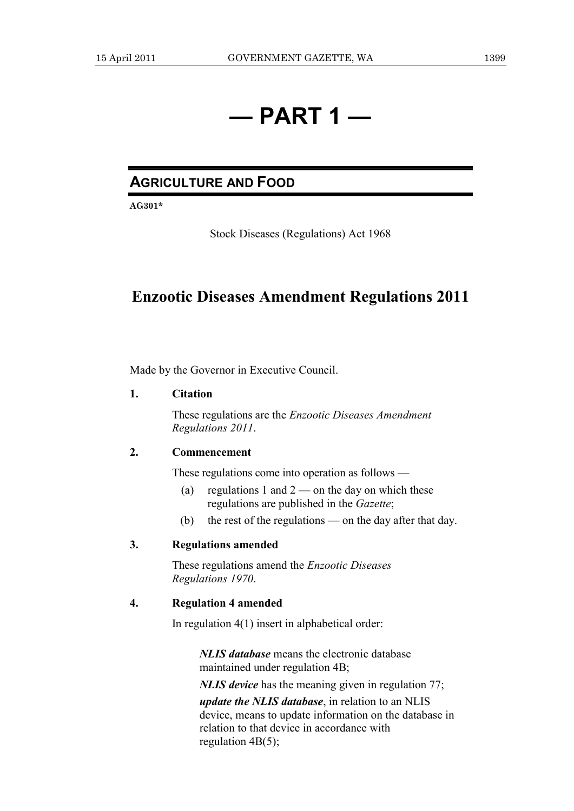# **— PART 1 —**

### **AGRICULTURE AND FOOD**

**AG301\*** 

Stock Diseases (Regulations) Act 1968

### **Enzootic Diseases Amendment Regulations 2011**

Made by the Governor in Executive Council.

### **1. Citation**

 These regulations are the *Enzootic Diseases Amendment Regulations 2011*.

### **2. Commencement**

These regulations come into operation as follows —

- (a) regulations 1 and  $2$  on the day on which these regulations are published in the *Gazette*;
- (b) the rest of the regulations on the day after that day.

### **3. Regulations amended**

 These regulations amend the *Enzootic Diseases Regulations 1970*.

### **4. Regulation 4 amended**

In regulation 4(1) insert in alphabetical order:

*NLIS database* means the electronic database maintained under regulation 4B;

*NLIS device* has the meaning given in regulation 77;

*update the NLIS database*, in relation to an NLIS device, means to update information on the database in relation to that device in accordance with regulation 4B(5);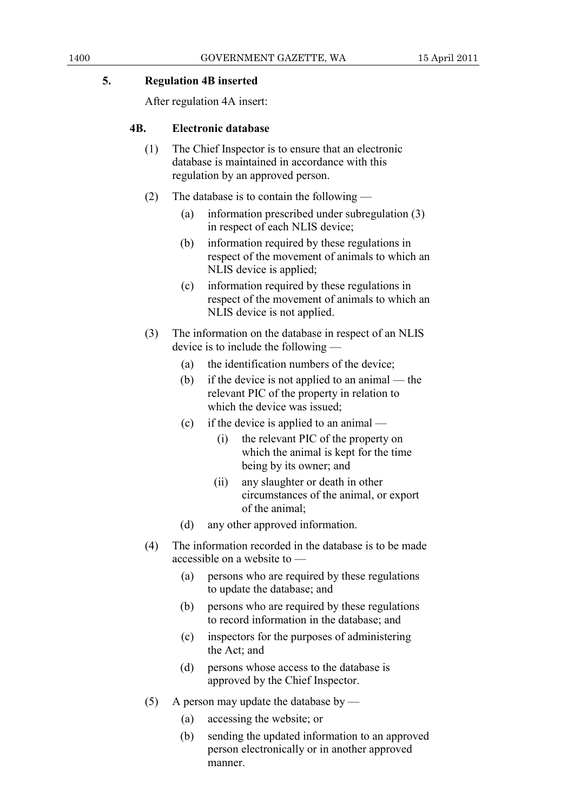### **5. Regulation 4B inserted**

After regulation 4A insert:

### **4B. Electronic database**

- (1) The Chief Inspector is to ensure that an electronic database is maintained in accordance with this regulation by an approved person.
- (2) The database is to contain the following
	- (a) information prescribed under subregulation (3) in respect of each NLIS device;
	- (b) information required by these regulations in respect of the movement of animals to which an NLIS device is applied;
	- (c) information required by these regulations in respect of the movement of animals to which an NLIS device is not applied.
- (3) The information on the database in respect of an NLIS device is to include the following —
	- (a) the identification numbers of the device;
	- (b) if the device is not applied to an animal the relevant PIC of the property in relation to which the device was issued;
	- (c) if the device is applied to an animal
		- (i) the relevant PIC of the property on which the animal is kept for the time being by its owner; and
		- (ii) any slaughter or death in other circumstances of the animal, or export of the animal;
	- (d) any other approved information.
- (4) The information recorded in the database is to be made accessible on a website to —
	- (a) persons who are required by these regulations to update the database; and
	- (b) persons who are required by these regulations to record information in the database; and
	- (c) inspectors for the purposes of administering the Act; and
	- (d) persons whose access to the database is approved by the Chief Inspector.
- (5) A person may update the database by
	- (a) accessing the website; or
	- (b) sending the updated information to an approved person electronically or in another approved manner.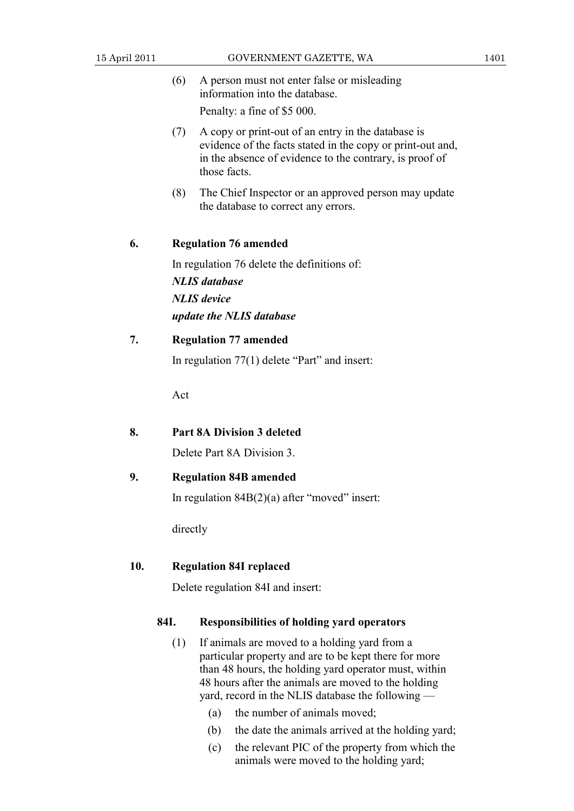- (6) A person must not enter false or misleading information into the database. Penalty: a fine of \$5 000.
- (7) A copy or print-out of an entry in the database is evidence of the facts stated in the copy or print-out and, in the absence of evidence to the contrary, is proof of those facts.
- (8) The Chief Inspector or an approved person may update the database to correct any errors.

### **6. Regulation 76 amended**

 In regulation 76 delete the definitions of: *NLIS database NLIS device update the NLIS database*

### **7. Regulation 77 amended**

In regulation 77(1) delete "Part" and insert:

Act

### **8. Part 8A Division 3 deleted**

Delete Part 8A Division 3.

### **9. Regulation 84B amended**

In regulation  $84B(2)(a)$  after "moved" insert:

directly

### **10. Regulation 84I replaced**

Delete regulation 84I and insert:

#### **84I. Responsibilities of holding yard operators**

- (1) If animals are moved to a holding yard from a particular property and are to be kept there for more than 48 hours, the holding yard operator must, within 48 hours after the animals are moved to the holding yard, record in the NLIS database the following —
	- (a) the number of animals moved;
	- (b) the date the animals arrived at the holding yard;
	- (c) the relevant PIC of the property from which the animals were moved to the holding yard;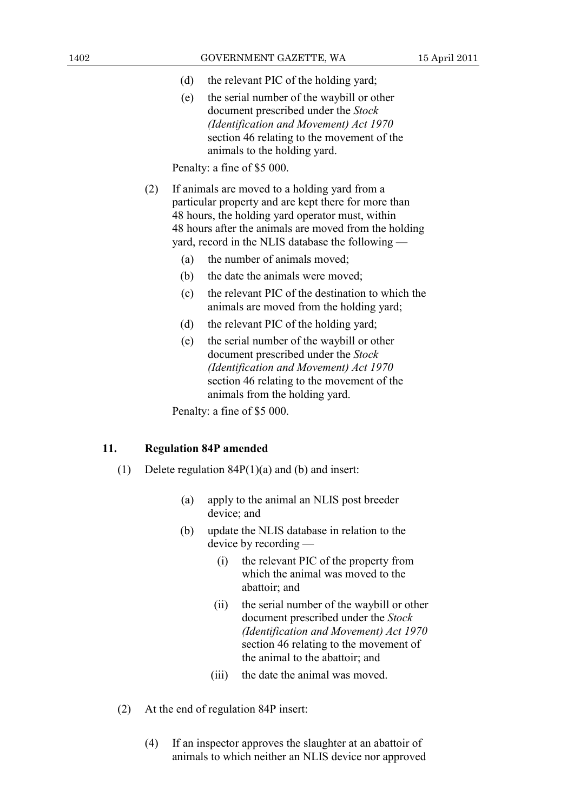- (d) the relevant PIC of the holding yard;
- (e) the serial number of the waybill or other document prescribed under the *Stock (Identification and Movement) Act 1970* section 46 relating to the movement of the animals to the holding yard.

- (2) If animals are moved to a holding yard from a particular property and are kept there for more than 48 hours, the holding yard operator must, within 48 hours after the animals are moved from the holding yard, record in the NLIS database the following —
	- (a) the number of animals moved;
	- (b) the date the animals were moved;
	- (c) the relevant PIC of the destination to which the animals are moved from the holding yard;
	- (d) the relevant PIC of the holding yard;
	- (e) the serial number of the waybill or other document prescribed under the *Stock (Identification and Movement) Act 1970* section 46 relating to the movement of the animals from the holding yard.

Penalty: a fine of \$5 000.

### **11. Regulation 84P amended**

- (1) Delete regulation 84P(1)(a) and (b) and insert:
	- (a) apply to the animal an NLIS post breeder device; and
	- (b) update the NLIS database in relation to the device by recording —
		- (i) the relevant PIC of the property from which the animal was moved to the abattoir; and
		- (ii) the serial number of the waybill or other document prescribed under the *Stock (Identification and Movement) Act 1970* section 46 relating to the movement of the animal to the abattoir; and
		- (iii) the date the animal was moved.
- (2) At the end of regulation 84P insert:
	- (4) If an inspector approves the slaughter at an abattoir of animals to which neither an NLIS device nor approved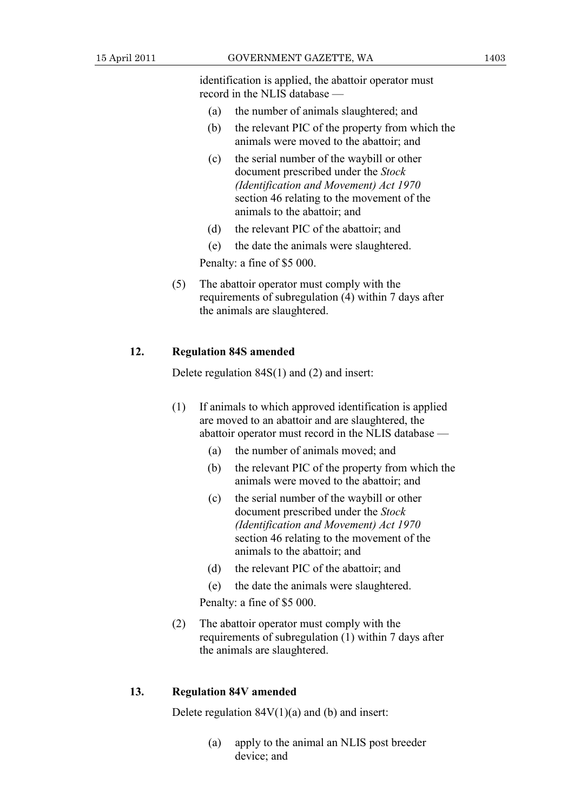identification is applied, the abattoir operator must record in the NLIS database —

- (a) the number of animals slaughtered; and
- (b) the relevant PIC of the property from which the animals were moved to the abattoir; and
- (c) the serial number of the waybill or other document prescribed under the *Stock (Identification and Movement) Act 1970* section 46 relating to the movement of the animals to the abattoir; and
- (d) the relevant PIC of the abattoir; and
- (e) the date the animals were slaughtered.

Penalty: a fine of \$5 000.

 (5) The abattoir operator must comply with the requirements of subregulation (4) within 7 days after the animals are slaughtered.

### **12. Regulation 84S amended**

Delete regulation 84S(1) and (2) and insert:

- (1) If animals to which approved identification is applied are moved to an abattoir and are slaughtered, the abattoir operator must record in the NLIS database —
	- (a) the number of animals moved; and
	- (b) the relevant PIC of the property from which the animals were moved to the abattoir; and
	- (c) the serial number of the waybill or other document prescribed under the *Stock (Identification and Movement) Act 1970* section 46 relating to the movement of the animals to the abattoir; and
	- (d) the relevant PIC of the abattoir; and
	- (e) the date the animals were slaughtered.

Penalty: a fine of \$5 000.

 (2) The abattoir operator must comply with the requirements of subregulation (1) within 7 days after the animals are slaughtered.

### **13. Regulation 84V amended**

Delete regulation  $84V(1)(a)$  and (b) and insert:

 (a) apply to the animal an NLIS post breeder device; and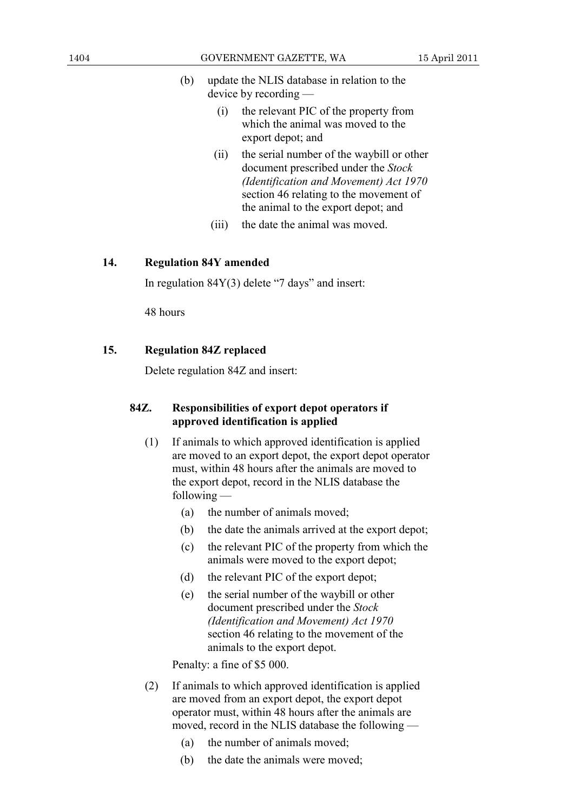- (b) update the NLIS database in relation to the device by recording —
	- (i) the relevant PIC of the property from which the animal was moved to the export depot; and
	- (ii) the serial number of the waybill or other document prescribed under the *Stock (Identification and Movement) Act 1970* section 46 relating to the movement of the animal to the export depot; and
	- (iii) the date the animal was moved.

### **14. Regulation 84Y amended**

In regulation  $84Y(3)$  delete "7 days" and insert:

48 hours

### **15. Regulation 84Z replaced**

Delete regulation 84Z and insert:

### **84Z. Responsibilities of export depot operators if approved identification is applied**

- (1) If animals to which approved identification is applied are moved to an export depot, the export depot operator must, within 48 hours after the animals are moved to the export depot, record in the NLIS database the following —
	- (a) the number of animals moved;
	- (b) the date the animals arrived at the export depot;
	- (c) the relevant PIC of the property from which the animals were moved to the export depot;
	- (d) the relevant PIC of the export depot;
	- (e) the serial number of the waybill or other document prescribed under the *Stock (Identification and Movement) Act 1970* section 46 relating to the movement of the animals to the export depot.

Penalty: a fine of \$5 000.

- (2) If animals to which approved identification is applied are moved from an export depot, the export depot operator must, within 48 hours after the animals are moved, record in the NLIS database the following —
	- (a) the number of animals moved;
	- (b) the date the animals were moved;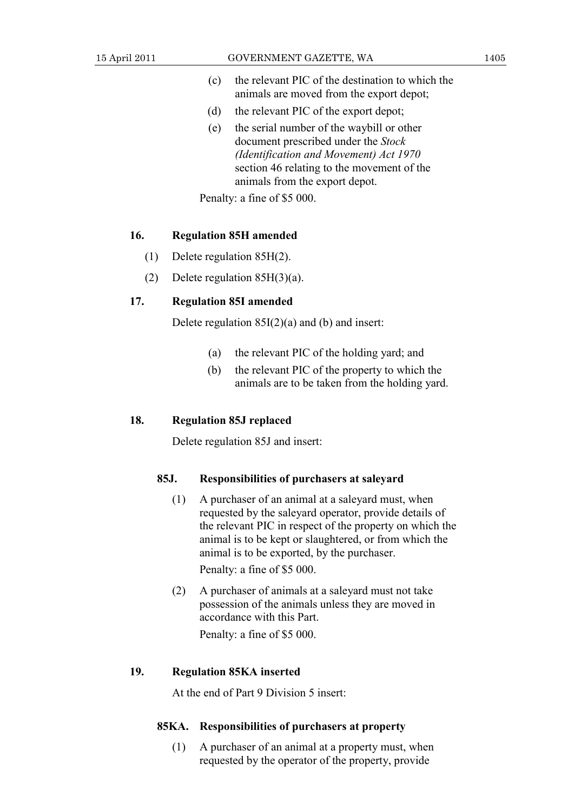- (c) the relevant PIC of the destination to which the animals are moved from the export depot;
- (d) the relevant PIC of the export depot;
- (e) the serial number of the waybill or other document prescribed under the *Stock (Identification and Movement) Act 1970* section 46 relating to the movement of the animals from the export depot.

#### **16. Regulation 85H amended**

- (1) Delete regulation 85H(2).
- (2) Delete regulation 85H(3)(a).

### **17. Regulation 85I amended**

Delete regulation  $85I(2)(a)$  and (b) and insert:

- (a) the relevant PIC of the holding yard; and
- (b) the relevant PIC of the property to which the animals are to be taken from the holding yard.

### **18. Regulation 85J replaced**

Delete regulation 85J and insert:

### **85J. Responsibilities of purchasers at saleyard**

 (1) A purchaser of an animal at a saleyard must, when requested by the saleyard operator, provide details of the relevant PIC in respect of the property on which the animal is to be kept or slaughtered, or from which the animal is to be exported, by the purchaser.

Penalty: a fine of \$5 000.

 (2) A purchaser of animals at a saleyard must not take possession of the animals unless they are moved in accordance with this Part.

Penalty: a fine of \$5 000.

### **19. Regulation 85KA inserted**

At the end of Part 9 Division 5 insert:

### **85KA. Responsibilities of purchasers at property**

 (1) A purchaser of an animal at a property must, when requested by the operator of the property, provide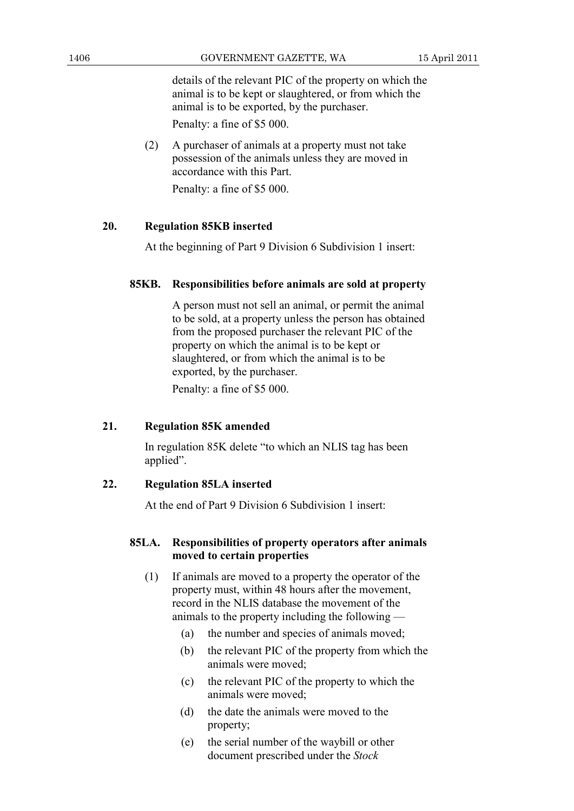details of the relevant PIC of the property on which the animal is to be kept or slaughtered, or from which the animal is to be exported, by the purchaser.

Penalty: a fine of \$5 000.

 (2) A purchaser of animals at a property must not take possession of the animals unless they are moved in accordance with this Part.

Penalty: a fine of \$5 000.

### **20. Regulation 85KB inserted**

At the beginning of Part 9 Division 6 Subdivision 1 insert:

### **85KB. Responsibilities before animals are sold at property**

 A person must not sell an animal, or permit the animal to be sold, at a property unless the person has obtained from the proposed purchaser the relevant PIC of the property on which the animal is to be kept or slaughtered, or from which the animal is to be exported, by the purchaser.

Penalty: a fine of \$5 000.

### **21. Regulation 85K amended**

 In regulation 85K delete "to which an NLIS tag has been applied".

### **22. Regulation 85LA inserted**

At the end of Part 9 Division 6 Subdivision 1 insert:

### **85LA. Responsibilities of property operators after animals moved to certain properties**

- (1) If animals are moved to a property the operator of the property must, within 48 hours after the movement, record in the NLIS database the movement of the animals to the property including the following —
	- (a) the number and species of animals moved;
	- (b) the relevant PIC of the property from which the animals were moved;
	- (c) the relevant PIC of the property to which the animals were moved;
	- (d) the date the animals were moved to the property;
	- (e) the serial number of the waybill or other document prescribed under the *Stock*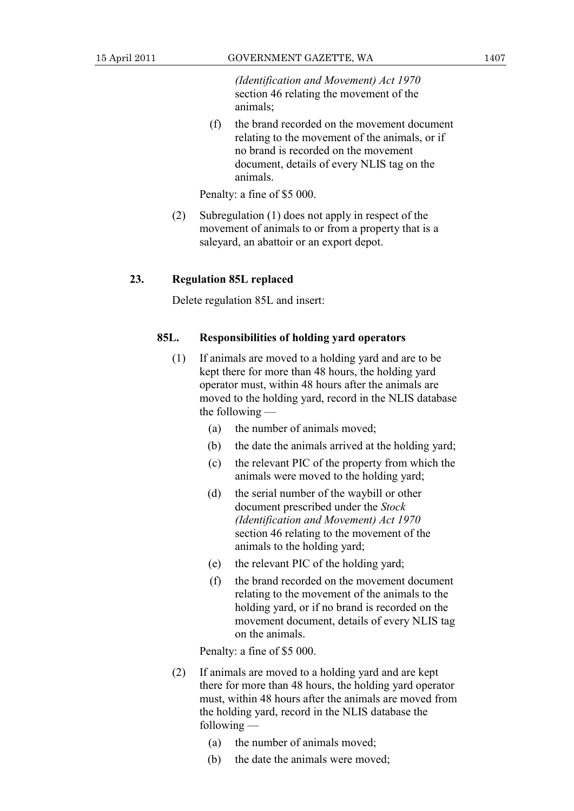*(Identification and Movement) Act 1970* section 46 relating the movement of the animals;

 (f) the brand recorded on the movement document relating to the movement of the animals, or if no brand is recorded on the movement document, details of every NLIS tag on the animals.

Penalty: a fine of \$5 000.

 (2) Subregulation (1) does not apply in respect of the movement of animals to or from a property that is a saleyard, an abattoir or an export depot.

### **23. Regulation 85L replaced**

Delete regulation 85L and insert:

### **85L. Responsibilities of holding yard operators**

- (1) If animals are moved to a holding yard and are to be kept there for more than 48 hours, the holding yard operator must, within 48 hours after the animals are moved to the holding yard, record in the NLIS database the following —
	- (a) the number of animals moved;
	- (b) the date the animals arrived at the holding yard;
	- (c) the relevant PIC of the property from which the animals were moved to the holding yard;
	- (d) the serial number of the waybill or other document prescribed under the *Stock (Identification and Movement) Act 1970* section 46 relating to the movement of the animals to the holding yard;
	- (e) the relevant PIC of the holding yard;
	- (f) the brand recorded on the movement document relating to the movement of the animals to the holding yard, or if no brand is recorded on the movement document, details of every NLIS tag on the animals.

Penalty: a fine of \$5 000.

- (2) If animals are moved to a holding yard and are kept there for more than 48 hours, the holding yard operator must, within 48 hours after the animals are moved from the holding yard, record in the NLIS database the following —
	- (a) the number of animals moved;
	- (b) the date the animals were moved;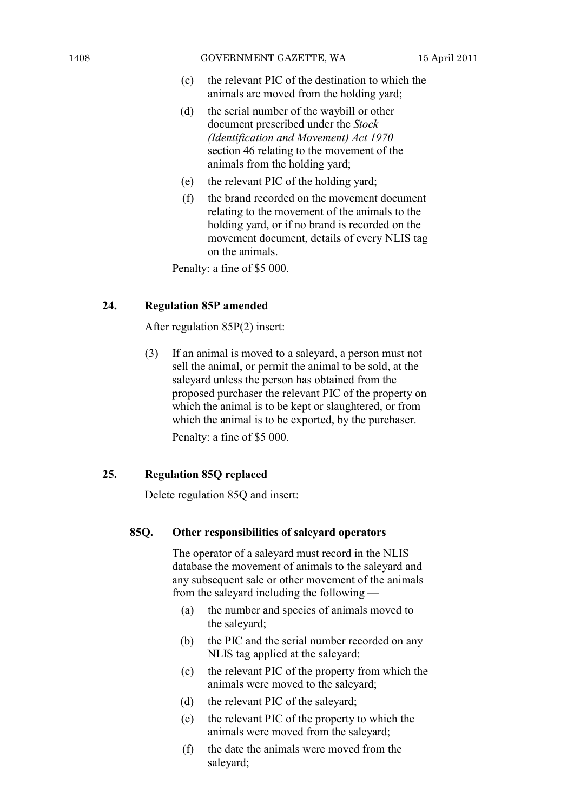- (c) the relevant PIC of the destination to which the animals are moved from the holding yard;
- (d) the serial number of the waybill or other document prescribed under the *Stock (Identification and Movement) Act 1970* section 46 relating to the movement of the animals from the holding yard;
- (e) the relevant PIC of the holding yard;
- (f) the brand recorded on the movement document relating to the movement of the animals to the holding yard, or if no brand is recorded on the movement document, details of every NLIS tag on the animals.

### **24. Regulation 85P amended**

After regulation 85P(2) insert:

 (3) If an animal is moved to a saleyard, a person must not sell the animal, or permit the animal to be sold, at the saleyard unless the person has obtained from the proposed purchaser the relevant PIC of the property on which the animal is to be kept or slaughtered, or from which the animal is to be exported, by the purchaser. Penalty: a fine of \$5 000.

### **25. Regulation 85Q replaced**

Delete regulation 85Q and insert:

#### **85Q. Other responsibilities of saleyard operators**

 The operator of a saleyard must record in the NLIS database the movement of animals to the saleyard and any subsequent sale or other movement of the animals from the saleyard including the following —

- (a) the number and species of animals moved to the saleyard;
- (b) the PIC and the serial number recorded on any NLIS tag applied at the saleyard;
- (c) the relevant PIC of the property from which the animals were moved to the saleyard;
- (d) the relevant PIC of the saleyard;
- (e) the relevant PIC of the property to which the animals were moved from the saleyard;
- (f) the date the animals were moved from the saleyard;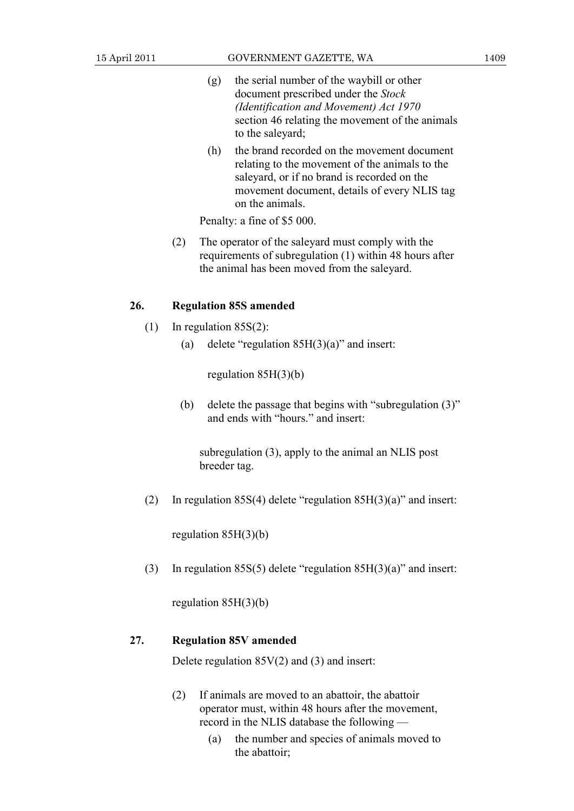- (g) the serial number of the waybill or other document prescribed under the *Stock (Identification and Movement) Act 1970* section 46 relating the movement of the animals to the saleyard;
- (h) the brand recorded on the movement document relating to the movement of the animals to the saleyard, or if no brand is recorded on the movement document, details of every NLIS tag on the animals.

 (2) The operator of the saleyard must comply with the requirements of subregulation (1) within 48 hours after the animal has been moved from the saleyard.

#### **26. Regulation 85S amended**

- (1) In regulation 85S(2):
	- (a) delete "regulation 85H(3)(a)" and insert:

regulation 85H(3)(b)

 (b) delete the passage that begins with "subregulation (3)" and ends with "hours." and insert:

 subregulation (3), apply to the animal an NLIS post breeder tag.

(2) In regulation  $85S(4)$  delete "regulation  $85H(3)(a)$ " and insert:

regulation 85H(3)(b)

(3) In regulation 85S(5) delete "regulation 85H(3)(a)" and insert:

regulation 85H(3)(b)

### **27. Regulation 85V amended**

Delete regulation  $85V(2)$  and (3) and insert:

- (2) If animals are moved to an abattoir, the abattoir operator must, within 48 hours after the movement, record in the NLIS database the following —
	- (a) the number and species of animals moved to the abattoir;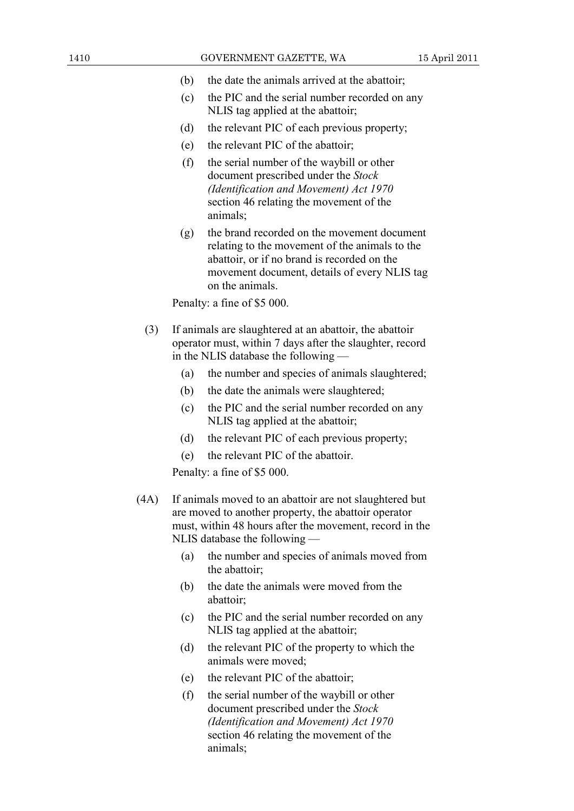- (b) the date the animals arrived at the abattoir;
- (c) the PIC and the serial number recorded on any NLIS tag applied at the abattoir;
- (d) the relevant PIC of each previous property;
- (e) the relevant PIC of the abattoir;
- (f) the serial number of the waybill or other document prescribed under the *Stock (Identification and Movement) Act 1970* section 46 relating the movement of the animals;
- (g) the brand recorded on the movement document relating to the movement of the animals to the abattoir, or if no brand is recorded on the movement document, details of every NLIS tag on the animals.

- (3) If animals are slaughtered at an abattoir, the abattoir operator must, within 7 days after the slaughter, record in the NLIS database the following —
	- (a) the number and species of animals slaughtered;
	- (b) the date the animals were slaughtered;
	- (c) the PIC and the serial number recorded on any NLIS tag applied at the abattoir;
	- (d) the relevant PIC of each previous property;
	- (e) the relevant PIC of the abattoir.

Penalty: a fine of \$5 000.

- (4A) If animals moved to an abattoir are not slaughtered but are moved to another property, the abattoir operator must, within 48 hours after the movement, record in the NLIS database the following —
	- (a) the number and species of animals moved from the abattoir;
	- (b) the date the animals were moved from the abattoir;
	- (c) the PIC and the serial number recorded on any NLIS tag applied at the abattoir;
	- (d) the relevant PIC of the property to which the animals were moved;
	- (e) the relevant PIC of the abattoir;
	- (f) the serial number of the waybill or other document prescribed under the *Stock (Identification and Movement) Act 1970* section 46 relating the movement of the animals;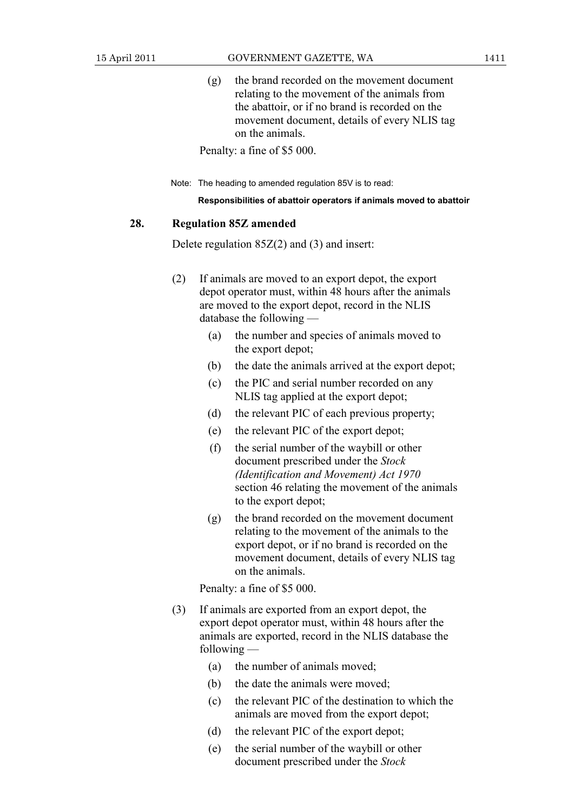(g) the brand recorded on the movement document relating to the movement of the animals from the abattoir, or if no brand is recorded on the movement document, details of every NLIS tag on the animals.

Penalty: a fine of \$5 000.

Note: The heading to amended regulation 85V is to read:

**Responsibilities of abattoir operators if animals moved to abattoir** 

### **28. Regulation 85Z amended**

Delete regulation 85Z(2) and (3) and insert:

- (2) If animals are moved to an export depot, the export depot operator must, within 48 hours after the animals are moved to the export depot, record in the NLIS database the following —
	- (a) the number and species of animals moved to the export depot;
	- (b) the date the animals arrived at the export depot;
	- (c) the PIC and serial number recorded on any NLIS tag applied at the export depot;
	- (d) the relevant PIC of each previous property;
	- (e) the relevant PIC of the export depot;
	- (f) the serial number of the waybill or other document prescribed under the *Stock (Identification and Movement) Act 1970* section 46 relating the movement of the animals to the export depot;
	- (g) the brand recorded on the movement document relating to the movement of the animals to the export depot, or if no brand is recorded on the movement document, details of every NLIS tag on the animals.

Penalty: a fine of \$5 000.

- (3) If animals are exported from an export depot, the export depot operator must, within 48 hours after the animals are exported, record in the NLIS database the following —
	- (a) the number of animals moved;
	- (b) the date the animals were moved;
	- (c) the relevant PIC of the destination to which the animals are moved from the export depot;
	- (d) the relevant PIC of the export depot;
	- (e) the serial number of the waybill or other document prescribed under the *Stock*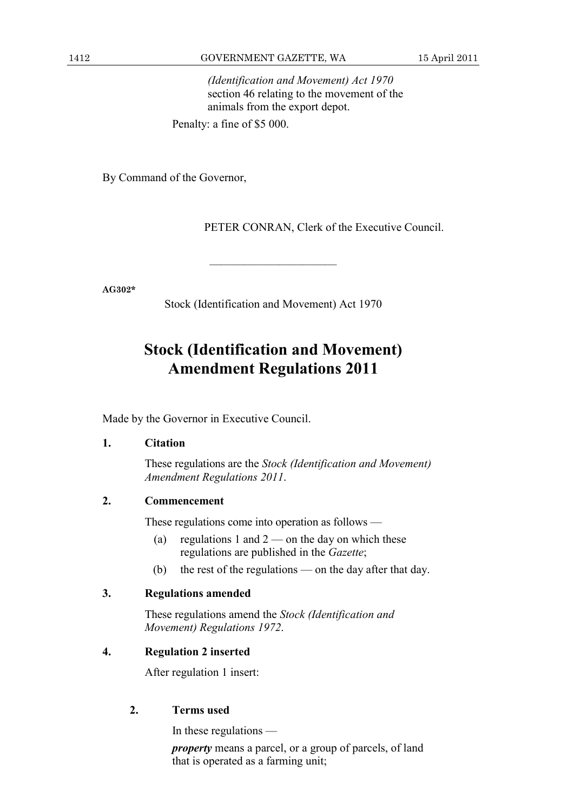*(Identification and Movement) Act 1970* section 46 relating to the movement of the animals from the export depot.

Penalty: a fine of \$5 000.

By Command of the Governor,

PETER CONRAN, Clerk of the Executive Council.

**AG302\*** 

Stock (Identification and Movement) Act 1970

———————————

## **Stock (Identification and Movement) Amendment Regulations 2011**

Made by the Governor in Executive Council.

### **1. Citation**

 These regulations are the *Stock (Identification and Movement) Amendment Regulations 2011*.

### **2. Commencement**

These regulations come into operation as follows —

- (a) regulations 1 and  $2$  on the day on which these regulations are published in the *Gazette*;
- (b) the rest of the regulations on the day after that day.

### **3. Regulations amended**

 These regulations amend the *Stock (Identification and Movement) Regulations 1972*.

### **4. Regulation 2 inserted**

After regulation 1 insert:

### **2. Terms used**

In these regulations —

*property* means a parcel, or a group of parcels, of land that is operated as a farming unit;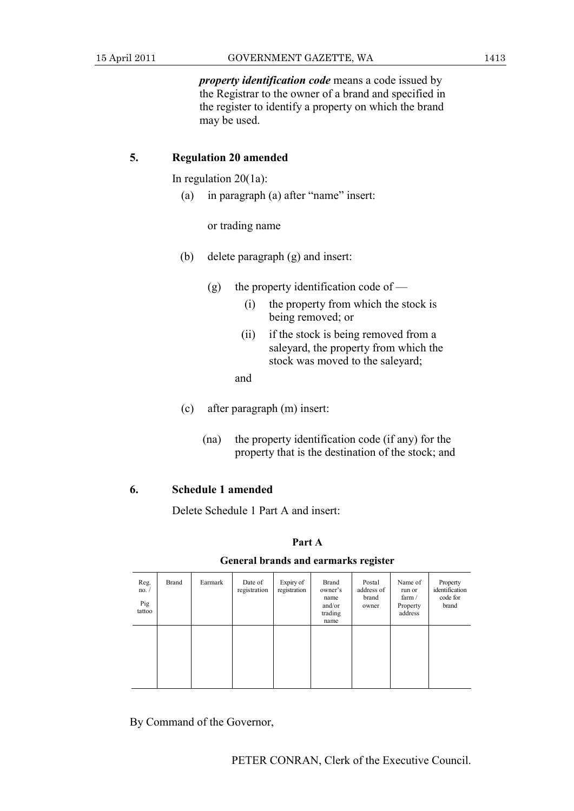*property identification code* means a code issued by the Registrar to the owner of a brand and specified in the register to identify a property on which the brand may be used.

### **5. Regulation 20 amended**

In regulation 20(1a):

(a) in paragraph (a) after "name" insert:

or trading name

- (b) delete paragraph (g) and insert:
	- (g) the property identification code of
		- (i) the property from which the stock is being removed; or
		- (ii) if the stock is being removed from a saleyard, the property from which the stock was moved to the saleyard;
		- and
- (c) after paragraph (m) insert:
	- (na) the property identification code (if any) for the property that is the destination of the stock; and

### **6. Schedule 1 amended**

Delete Schedule 1 Part A and insert:

### **Part A**

#### **General brands and earmarks register**

| Reg.<br>no. /<br>Pig<br>tattoo | <b>Brand</b> | Earmark | Date of<br>registration | Expiry of<br>registration | <b>Brand</b><br>owner's<br>name<br>and/or<br>trading<br>name | Postal<br>address of<br>brand<br>owner | Name of<br>run or<br>farm $/$<br>Property<br>address | Property<br>identification<br>code for<br>brand |
|--------------------------------|--------------|---------|-------------------------|---------------------------|--------------------------------------------------------------|----------------------------------------|------------------------------------------------------|-------------------------------------------------|
|                                |              |         |                         |                           |                                                              |                                        |                                                      |                                                 |

By Command of the Governor,

PETER CONRAN, Clerk of the Executive Council.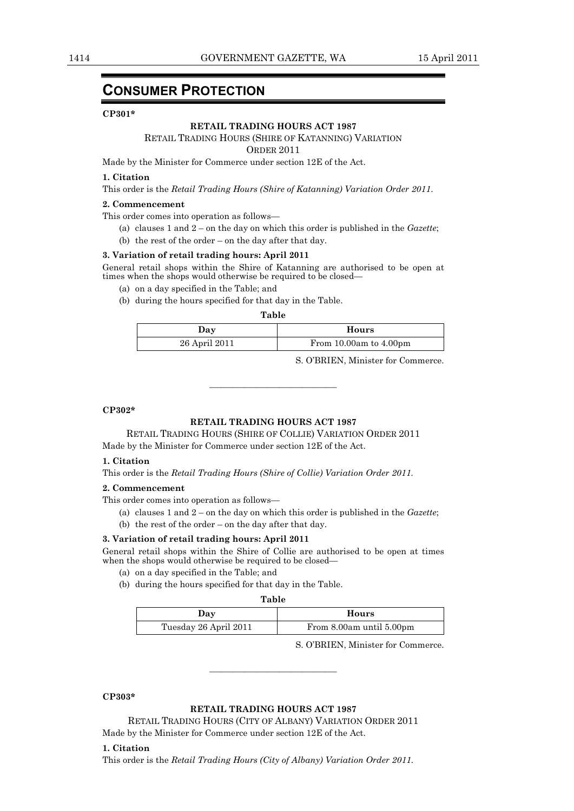### **CONSUMER PROTECTION**

#### **CP301\***

#### **RETAIL TRADING HOURS ACT 1987**

#### RETAIL TRADING HOURS (SHIRE OF KATANNING) VARIATION

ORDER 2011

Made by the Minister for Commerce under section 12E of the Act.

#### **1. Citation**

This order is the *Retail Trading Hours (Shire of Katanning) Variation Order 2011*.

#### **2. Commencement**

This order comes into operation as follows—

- (a) clauses 1 and 2 on the day on which this order is published in the *Gazette*;
- (b) the rest of the order on the day after that day.

#### **3. Variation of retail trading hours: April 2011**

General retail shops within the Shire of Katanning are authorised to be open at times when the shops would otherwise be required to be closed—

- (a) on a day specified in the Table; and
- (b) during the hours specified for that day in the Table.

#### **Table**

———————————

| Day           | Hours                      |
|---------------|----------------------------|
| 26 April 2011 | From $10.00am$ to $4.00pm$ |
|               |                            |

S. O'BRIEN, Minister for Commerce.

#### **CP302\***

#### **RETAIL TRADING HOURS ACT 1987**

RETAIL TRADING HOURS (SHIRE OF COLLIE) VARIATION ORDER 2011

Made by the Minister for Commerce under section 12E of the Act.

#### **1. Citation**

This order is the *Retail Trading Hours (Shire of Collie) Variation Order 2011.* 

#### **2. Commencement**

This order comes into operation as follows—

- (a) clauses 1 and 2 on the day on which this order is published in the *Gazette*;
- (b) the rest of the order on the day after that day.

#### **3. Variation of retail trading hours: April 2011**

General retail shops within the Shire of Collie are authorised to be open at times when the shops would otherwise be required to be closed—

- (a) on a day specified in the Table; and
- (b) during the hours specified for that day in the Table.

| Table                 |                          |  |  |
|-----------------------|--------------------------|--|--|
| Day                   | Hours                    |  |  |
| Tuesday 26 April 2011 | From 8.00am until 5.00pm |  |  |

S. O'BRIEN, Minister for Commerce.

#### **CP303\***

#### **RETAIL TRADING HOURS ACT 1987**

———————————

RETAIL TRADING HOURS (CITY OF ALBANY) VARIATION ORDER 2011 Made by the Minister for Commerce under section 12E of the Act.

#### **1. Citation**

This order is the *Retail Trading Hours (City of Albany) Variation Order 2011.*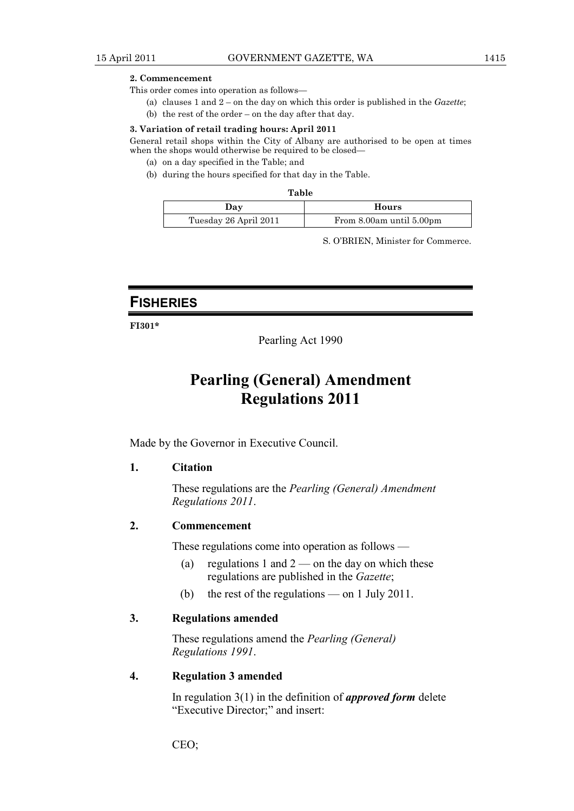#### **2. Commencement**

This order comes into operation as follows—

(a) clauses 1 and 2 – on the day on which this order is published in the *Gazette*;

(b) the rest of the order – on the day after that day.

#### **3. Variation of retail trading hours: April 2011**

General retail shops within the City of Albany are authorised to be open at times when the shops would otherwise be required to be closed—

- (a) on a day specified in the Table; and
- (b) during the hours specified for that day in the Table.

| Table                 |                          |  |  |
|-----------------------|--------------------------|--|--|
| Day                   | Hours                    |  |  |
| Tuesday 26 April 2011 | From 8.00am until 5.00pm |  |  |

S. O'BRIEN, Minister for Commerce.

### **FISHERIES**

**FI301\*** 

Pearling Act 1990

### **Pearling (General) Amendment Regulations 2011**

Made by the Governor in Executive Council.

### **1. Citation**

 These regulations are the *Pearling (General) Amendment Regulations 2011*.

### **2. Commencement**

These regulations come into operation as follows —

- (a) regulations 1 and  $2$  on the day on which these regulations are published in the *Gazette*;
- (b) the rest of the regulations on 1 July 2011.

### **3. Regulations amended**

 These regulations amend the *Pearling (General) Regulations 1991*.

#### **4. Regulation 3 amended**

 In regulation 3(1) in the definition of *approved form* delete "Executive Director;" and insert:

CEO;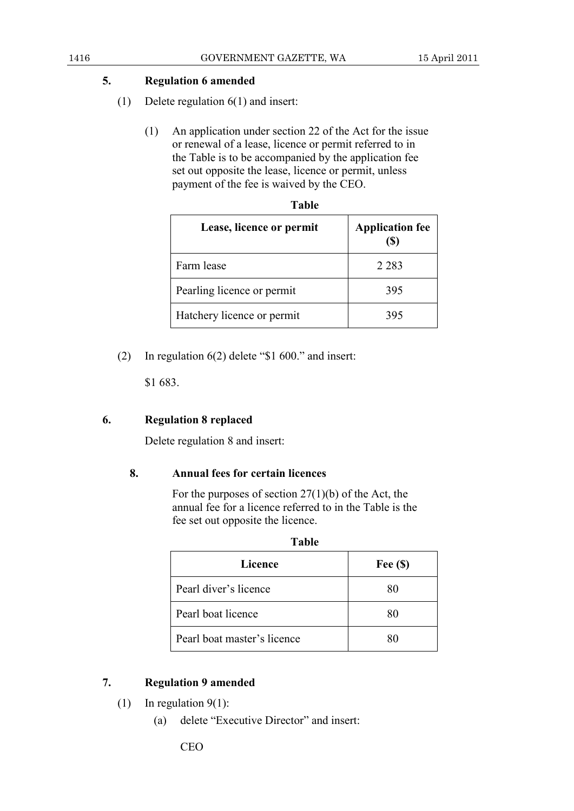### **5. Regulation 6 amended**

- (1) Delete regulation 6(1) and insert:
	- (1) An application under section 22 of the Act for the issue or renewal of a lease, licence or permit referred to in the Table is to be accompanied by the application fee set out opposite the lease, licence or permit, unless payment of the fee is waived by the CEO.

| Lease, licence or permit   | <b>Application fee</b> |
|----------------------------|------------------------|
| Farm lease                 | 2 2 8 3                |
| Pearling licence or permit | 395                    |
| Hatchery licence or permit | 395                    |

(2) In regulation 6(2) delete "\$1 600." and insert:

\$1 683.

### **6. Regulation 8 replaced**

Delete regulation 8 and insert:

### **8. Annual fees for certain licences**

For the purposes of section  $27(1)(b)$  of the Act, the annual fee for a licence referred to in the Table is the fee set out opposite the licence.

| <b>Table</b>                |            |  |  |  |
|-----------------------------|------------|--|--|--|
| <b>Licence</b>              | Fee $(\$)$ |  |  |  |
| Pearl diver's licence       | 80         |  |  |  |
| Pearl boat licence          | 80         |  |  |  |
| Pearl boat master's licence | 80         |  |  |  |
|                             |            |  |  |  |

### **7. Regulation 9 amended**

- (1) In regulation  $9(1)$ :
	- (a) delete "Executive Director" and insert: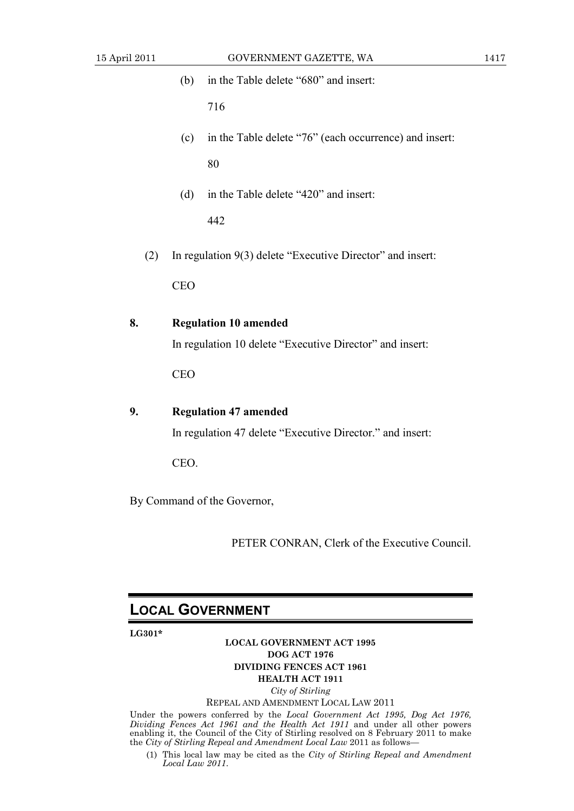|     | (b)        | in the Table delete "680" and insert:                      |
|-----|------------|------------------------------------------------------------|
|     |            | 716                                                        |
|     | (c)        | in the Table delete "76" (each occurrence) and insert:     |
|     |            | 80                                                         |
|     | (d)        | in the Table delete "420" and insert:                      |
|     |            | 442                                                        |
| (2) |            | In regulation 9(3) delete "Executive Director" and insert: |
|     | <b>CEO</b> |                                                            |
| 8.  |            | <b>Regulation 10 amended</b>                               |
|     |            | In regulation 10 delete "Executive Director" and insert:   |
|     | <b>CEO</b> |                                                            |
| 9.  |            | <b>Regulation 47 amended</b>                               |
|     |            | In regulation 47 delete "Executive Director." and insert:  |
|     | CEO.       |                                                            |
|     |            | By Command of the Governor,                                |
|     |            |                                                            |

PETER CONRAN, Clerk of the Executive Council.

### **LOCAL GOVERNMENT**

**LG301\*** 

#### **LOCAL GOVERNMENT ACT 1995 DOG ACT 1976 DIVIDING FENCES ACT 1961 HEALTH ACT 1911**

*City of Stirling* 

#### REPEAL AND AMENDMENT LOCAL LAW 2011

Under the powers conferred by the *Local Government Act 1995, Dog Act 1976, Dividing Fences Act 1961 and the Health Act 1911* and under all other powers enabling it, the Council of the City of Stirling resolved on 8 February 2011 to make the *City of Stirling Repeal and Amendment Local Law* 2011 as follows—

 (1) This local law may be cited as the *City of Stirling Repeal and Amendment Local Law 2011*.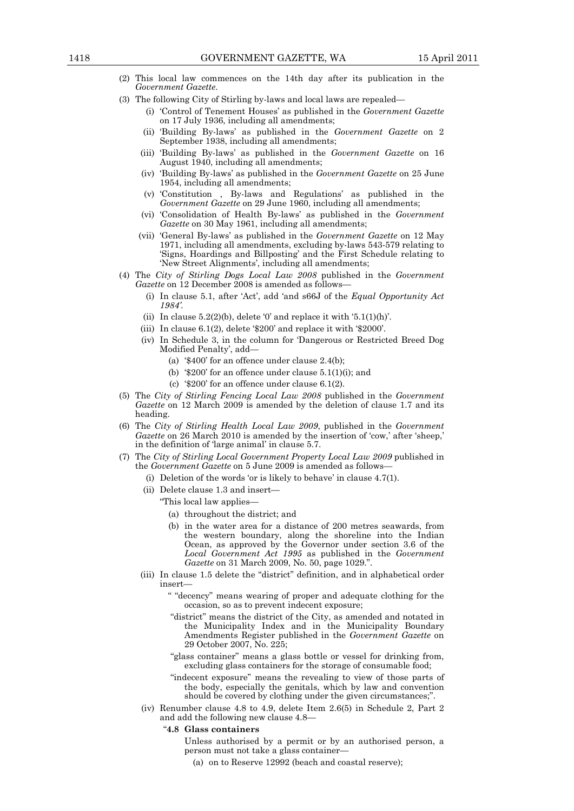- (2) This local law commences on the 14th day after its publication in the *Government Gazette*.
- (3) The following City of Stirling by-laws and local laws are repealed—
	- (i) 'Control of Tenement Houses' as published in the *Government Gazette* on 17 July 1936, including all amendments;
	- (ii) 'Building By-laws' as published in the *Government Gazette* on 2 September 1938, including all amendments;
	- (iii) 'Building By-laws' as published in the *Government Gazette* on 16 August 1940, including all amendments;
	- (iv) 'Building By-laws' as published in the *Government Gazette* on 25 June 1954, including all amendments;
	- (v) 'Constitution , By-laws and Regulations' as published in the *Government Gazette* on 29 June 1960, including all amendments;
	- (vi) 'Consolidation of Health By-laws' as published in the *Government Gazette* on 30 May 1961, including all amendments;
	- (vii) 'General By-laws' as published in the *Government Gazette* on 12 May 1971, including all amendments, excluding by-laws 543-579 relating to 'Signs, Hoardings and Billposting' and the First Schedule relating to 'New Street Alignments', including all amendments;
- (4) The *City of Stirling Dogs Local Law 2008* published in the *Government*  Gazette on 12 December 2008 is amended as follows-
	- (i) In clause 5.1, after 'Act', add 'and s66J of the *Equal Opportunity Act 1984'.*
	- (ii) In clause  $5.2(2)(b)$ , delete '0' and replace it with ' $5.1(1)(h)$ '.
	- (iii) In clause 6.1(2), delete '\$200' and replace it with '\$2000'.
	- (iv) In Schedule 3, in the column for 'Dangerous or Restricted Breed Dog Modified Penalty', add—
		- (a) '\$400' for an offence under clause 2.4(b);
		- (b) ' $\$200'$  for an offence under clause  $5.1(1)(i)$ ; and
		- (c) '\$200' for an offence under clause 6.1(2).
- (5) The *City of Stirling Fencing Local Law 2008* published in the *Government Gazette* on 12 March 2009 is amended by the deletion of clause 1.7 and its heading.
- (6) The *City of Stirling Health Local Law 2009*, published in the *Government Gazette* on 26 March 2010 is amended by the insertion of 'cow,' after 'sheep,' in the definition of 'large animal' in clause 5.7.
- (7) The *City of Stirling Local Government Property Local Law 2009* published in the *Government Gazette* on 5 June 2009 is amended as follows—
	- (i) Deletion of the words 'or is likely to behave' in clause 4.7(1).
	- (ii) Delete clause 1.3 and insert—
		- "This local law applies—
			- (a) throughout the district; and
			- (b) in the water area for a distance of 200 metres seawards, from the western boundary, along the shoreline into the Indian Ocean, as approved by the Governor under section 3.6 of the *Local Government Act 1995* as published in the *Government Gazette* on 31 March 2009, No. 50, page 1029.".
	- (iii) In clause 1.5 delete the "district" definition, and in alphabetical order insert—
		- " "decency" means wearing of proper and adequate clothing for the occasion, so as to prevent indecent exposure;
		- "district" means the district of the City, as amended and notated in the Municipality Index and in the Municipality Boundary Amendments Register published in the *Government Gazette* on 29 October 2007, No. 225;
		- "glass container" means a glass bottle or vessel for drinking from, excluding glass containers for the storage of consumable food;
		- "indecent exposure" means the revealing to view of those parts of the body, especially the genitals, which by law and convention should be covered by clothing under the given circumstances;".
	- (iv) Renumber clause 4.8 to 4.9, delete Item 2.6(5) in Schedule 2, Part 2 and add the following new clause 4.8—
		- "**4.8 Glass containers**
			- Unless authorised by a permit or by an authorised person, a person must not take a glass container—
				- (a) on to Reserve 12992 (beach and coastal reserve);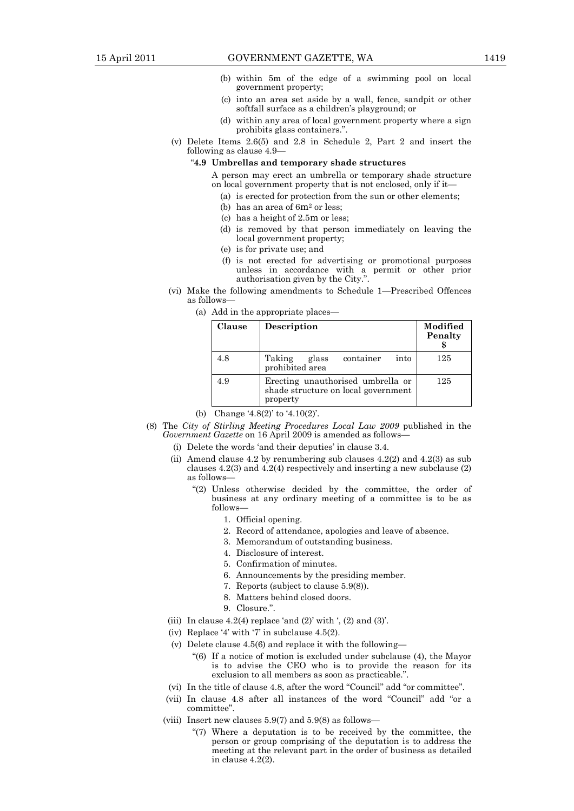- (b) within 5m of the edge of a swimming pool on local government property;
- (c) into an area set aside by a wall, fence, sandpit or other softfall surface as a children's playground; or
- (d) within any area of local government property where a sign prohibits glass containers.".
- (v) Delete Items 2.6(5) and 2.8 in Schedule 2, Part 2 and insert the following as clause 4.9—

#### "**4.9 Umbrellas and temporary shade structures**

- A person may erect an umbrella or temporary shade structure on local government property that is not enclosed, only if it—
	- (a) is erected for protection from the sun or other elements;
	- (b) has an area of 6m2 or less;
	- (c) has a height of 2.5m or less;
	- (d) is removed by that person immediately on leaving the local government property;
	- (e) is for private use; and
	- (f) is not erected for advertising or promotional purposes unless in accordance with a permit or other prior authorisation given by the City.".
- (vi) Make the following amendments to Schedule 1—Prescribed Offences as follows—
	- (a) Add in the appropriate places—

| Clause | Description                                                                          | Modified<br>Penalty |
|--------|--------------------------------------------------------------------------------------|---------------------|
| 4.8    | container<br>Taking<br>into<br>glass<br>prohibited area                              | 125                 |
| 4.9    | Erecting unauthorised umbrella or<br>shade structure on local government<br>property | 125                 |

(b) Change '4.8(2)' to '4.10(2)'.

- (8) The *City of Stirling Meeting Procedures Local Law 2009* published in the *Government Gazette* on 16 April 2009 is amended as follows—
	- (i) Delete the words 'and their deputies' in clause 3.4.
	- (ii) Amend clause 4.2 by renumbering sub clauses  $4.2(2)$  and  $4.2(3)$  as sub clauses 4.2(3) and 4.2(4) respectively and inserting a new subclause (2) as follows—
		- "(2) Unless otherwise decided by the committee, the order of business at any ordinary meeting of a committee is to be as follows—
			- 1. Official opening.
			- 2. Record of attendance, apologies and leave of absence.
			- 3. Memorandum of outstanding business.
			- 4. Disclosure of interest.
			- 5. Confirmation of minutes.
			- 6. Announcements by the presiding member.
			- 7. Reports (subject to clause 5.9(8)).
			- 8. Matters behind closed doors.
			- 9. Closure.".
	- (iii) In clause  $4.2(4)$  replace 'and  $(2)$ ' with ',  $(2)$  and  $(3)$ '.
	- (iv) Replace '4' with '7' in subclause 4.5(2).
	- (v) Delete clause 4.5(6) and replace it with the following—
		- "(6) If a notice of motion is excluded under subclause (4), the Mayor is to advise the CEO who is to provide the reason for its exclusion to all members as soon as practicable.".
	- (vi) In the title of clause 4.8, after the word "Council" add "or committee".
	- (vii) In clause 4.8 after all instances of the word "Council" add "or a committee".
	- (viii) Insert new clauses 5.9(7) and 5.9(8) as follows—
		- "(7) Where a deputation is to be received by the committee, the person or group comprising of the deputation is to address the meeting at the relevant part in the order of business as detailed in clause 4.2(2).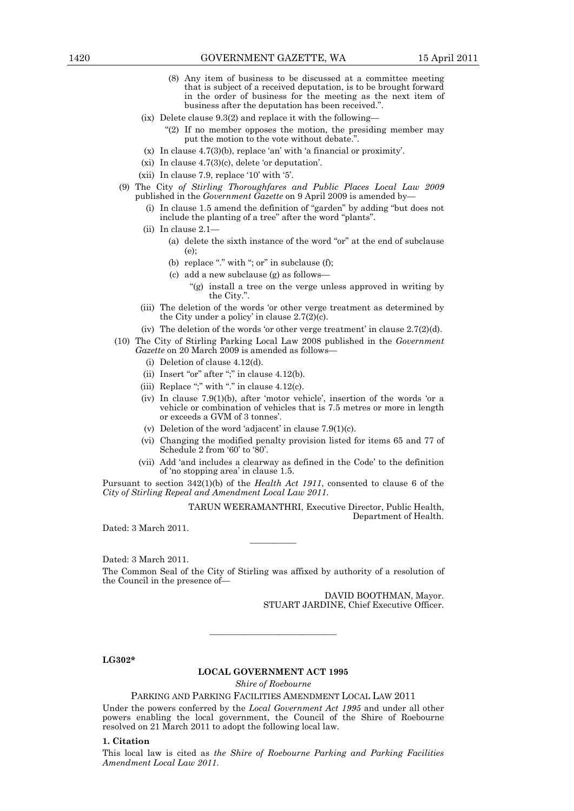- (8) Any item of business to be discussed at a committee meeting that is subject of a received deputation, is to be brought forward in the order of business for the meeting as the next item of business after the deputation has been received.".
- (ix) Delete clause 9.3(2) and replace it with the following—
	- "(2) If no member opposes the motion, the presiding member may put the motion to the vote without debate.".
- (x) In clause 4.7(3)(b), replace 'an' with 'a financial or proximity'.
- (xi) In clause 4.7(3)(c), delete 'or deputation'.
- (xii) In clause 7.9, replace '10' with '5'.
- (9) The City *of Stirling Thoroughfares and Public Places Local Law 2009* published in the *Government Gazette* on 9 April 2009 is amended by—
	- (i) In clause 1.5 amend the definition of "garden" by adding "but does not include the planting of a tree" after the word "plants".
	- $(ii)$  In clause 2.1-
		- (a) delete the sixth instance of the word "or" at the end of subclause (e);
		- (b) replace "." with "; or" in subclause (f);
		- (c) add a new subclause (g) as follows—
			- "(g) install a tree on the verge unless approved in writing by the City.".
	- (iii) The deletion of the words 'or other verge treatment as determined by the City under a policy' in clause  $2.7(2)(c)$ .
	- (iv) The deletion of the words 'or other verge treatment' in clause 2.7(2)(d).
- (10) The City of Stirling Parking Local Law 2008 published in the *Government Gazette* on 20 March 2009 is amended as follows—
	- (i) Deletion of clause 4.12(d).
	- (ii) Insert "or" after ";" in clause 4.12(b).
	- (iii) Replace ";" with "." in clause  $4.12(c)$ .
	- (iv) In clause 7.9(1)(b), after 'motor vehicle', insertion of the words 'or a vehicle or combination of vehicles that is 7.5 metres or more in length or exceeds a GVM of 3 tonnes'.
	- (v) Deletion of the word 'adjacent' in clause 7.9(1)(c).
	- (vi) Changing the modified penalty provision listed for items 65 and 77 of Schedule 2 from '60' to '80'.
	- (vii) Add 'and includes a clearway as defined in the Code' to the definition of 'no stopping area' in clause 1.5.

Pursuant to section 342(1)(b) of the *Health Act 1911*, consented to clause 6 of the *City of Stirling Repeal and Amendment Local Law 2011*.

> TARUN WEERAMANTHRI, Executive Director, Public Health, Department of Health.

Dated: 3 March 2011.

Dated: 3 March 2011.

The Common Seal of the City of Stirling was affixed by authority of a resolution of the Council in the presence of—

————

DAVID BOOTHMAN, Mayor. STUART JARDINE, Chief Executive Officer.

**LG302\*** 

#### **LOCAL GOVERNMENT ACT 1995**

———————————

*Shire of Roebourne* 

PARKING AND PARKING FACILITIES AMENDMENT LOCAL LAW 2011

Under the powers conferred by the *Local Government Act 1995* and under all other powers enabling the local government, the Council of the Shire of Roebourne resolved on 21 March 2011 to adopt the following local law.

#### **1. Citation**

This local law is cited as *the Shire of Roebourne Parking and Parking Facilities Amendment Local Law 2011*.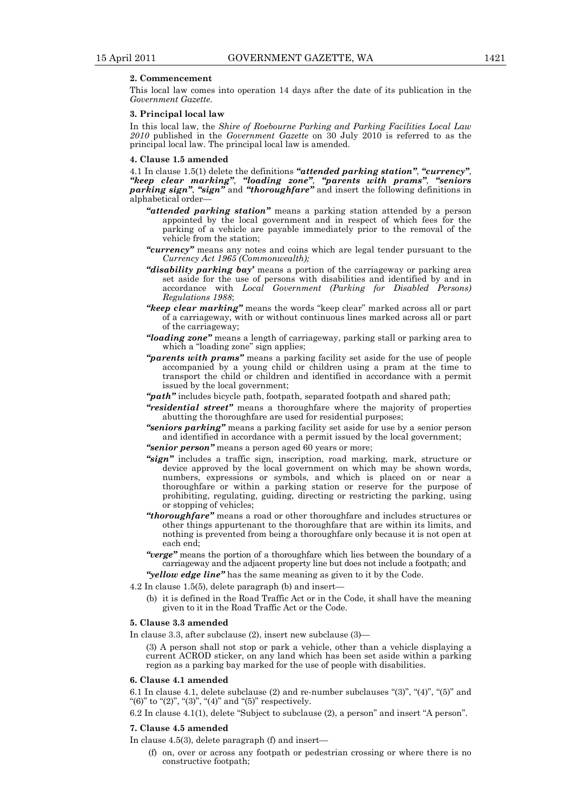#### **2. Commencement**

This local law comes into operation 14 days after the date of its publication in the *Government Gazette*.

#### **3. Principal local law**

In this local law, the *Shire of Roebourne Parking and Parking Facilities Local Law 2010* published in the *Government Gazette* on 30 July 2010 is referred to as the principal local law. The principal local law is amended.

#### **4. Clause 1.5 amended**

4.1 In clause 1.5(1) delete the definitions *"attended parking station"*, *"currency"*, *"keep clear marking"*, *"loading zone"*, *"parents with prams"*, *"seniors parking sign"*, *"sign"* and *"thoroughfare"* and insert the following definitions in alphabetical order—

- *"attended parking station"* means a parking station attended by a person appointed by the local government and in respect of which fees for the parking of a vehicle are payable immediately prior to the removal of the vehicle from the station;
- *"currency"* means any notes and coins which are legal tender pursuant to the *Currency Act 1965 (Commonwealth);*
- *"disability parking bay'* means a portion of the carriageway or parking area set aside for the use of persons with disabilities and identified by and in accordance with *Local Government (Parking for Disabled Persons) Regulations 1988*;
- *"keep clear marking"* means the words "keep clear" marked across all or part of a carriageway, with or without continuous lines marked across all or part of the carriageway;
- *"loading zone"* means a length of carriageway, parking stall or parking area to which a "loading zone" sign applies;
- *"parents with prams"* means a parking facility set aside for the use of people accompanied by a young child or children using a pram at the time to transport the child or children and identified in accordance with a permit issued by the local government;
- *"path"* includes bicycle path, footpath, separated footpath and shared path;
- *"residential street"* means a thoroughfare where the majority of properties abutting the thoroughfare are used for residential purposes;
- *"seniors parking"* means a parking facility set aside for use by a senior person and identified in accordance with a permit issued by the local government;

*"senior person"* means a person aged 60 years or more;

- *"sign"* includes a traffic sign, inscription, road marking, mark, structure or device approved by the local government on which may be shown words, numbers, expressions or symbols, and which is placed on or near a thoroughfare or within a parking station or reserve for the purpose of prohibiting, regulating, guiding, directing or restricting the parking, using or stopping of vehicles;
- *"thoroughfare"* means a road or other thoroughfare and includes structures or other things appurtenant to the thoroughfare that are within its limits, and nothing is prevented from being a thoroughfare only because it is not open at each end;
- *"verge"* means the portion of a thoroughfare which lies between the boundary of a carriageway and the adjacent property line but does not include a footpath; and
- *"yellow edge line"* has the same meaning as given to it by the Code.
- $4.2$  In clause 1.5(5), delete paragraph (b) and insert-
	- (b) it is defined in the Road Traffic Act or in the Code, it shall have the meaning given to it in the Road Traffic Act or the Code.

#### **5. Clause 3.3 amended**

In clause 3.3, after subclause (2), insert new subclause (3)—

(3) A person shall not stop or park a vehicle, other than a vehicle displaying a current ACROD sticker, on any land which has been set aside within a parking region as a parking bay marked for the use of people with disabilities.

#### **6. Clause 4.1 amended**

6.1 In clause 4.1, delete subclause  $(2)$  and re-number subclauses " $(3)$ ", " $(4)$ ", " $(5)$ " and "(6)" to " $(2)$ ", " $(3)$ ", " $(4)$ " and " $(5)$ " respectively.

6.2 In clause 4.1(1), delete "Subject to subclause (2), a person" and insert "A person".

#### **7. Clause 4.5 amended**

In clause 4.5(3), delete paragraph (f) and insert—

 (f) on, over or across any footpath or pedestrian crossing or where there is no constructive footpath;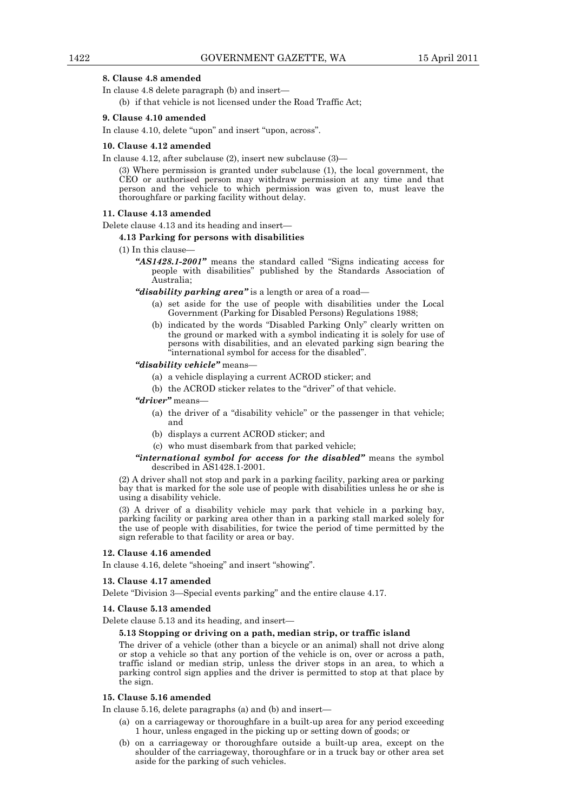#### **8. Clause 4.8 amended**

In clause 4.8 delete paragraph (b) and insert—

(b) if that vehicle is not licensed under the Road Traffic Act;

#### **9. Clause 4.10 amended**

In clause 4.10, delete "upon" and insert "upon, across".

#### **10. Clause 4.12 amended**

In clause 4.12, after subclause (2), insert new subclause (3)—

(3) Where permission is granted under subclause (1), the local government, the CEO or authorised person may withdraw permission at any time and that person and the vehicle to which permission was given to, must leave the thoroughfare or parking facility without delay.

#### **11. Clause 4.13 amended**

Delete clause 4.13 and its heading and insert—

#### **4.13 Parking for persons with disabilities**

(1) In this clause—

*"AS1428.1-2001"* means the standard called "Signs indicating access for people with disabilities" published by the Standards Association of Australia;

*"disability parking area"* is a length or area of a road—

- (a) set aside for the use of people with disabilities under the Local Government (Parking for Disabled Persons) Regulations 1988;
- (b) indicated by the words "Disabled Parking Only" clearly written on the ground or marked with a symbol indicating it is solely for use of persons with disabilities, and an elevated parking sign bearing the "international symbol for access for the disabled".

#### *"disability vehicle"* means—

- (a) a vehicle displaying a current ACROD sticker; and
- (b) the ACROD sticker relates to the "driver" of that vehicle.

*"driver"* means—

- (a) the driver of a "disability vehicle" or the passenger in that vehicle; and
- (b) displays a current ACROD sticker; and
- (c) who must disembark from that parked vehicle;

#### *"international symbol for access for the disabled"* means the symbol described in AS1428.1-2001.

(2) A driver shall not stop and park in a parking facility, parking area or parking bay that is marked for the sole use of people with disabilities unless he or she is using a disability vehicle.

(3) A driver of a disability vehicle may park that vehicle in a parking bay, parking facility or parking area other than in a parking stall marked solely for the use of people with disabilities, for twice the period of time permitted by the sign referable to that facility or area or bay.

#### **12. Clause 4.16 amended**

In clause 4.16, delete "shoeing" and insert "showing".

#### **13. Clause 4.17 amended**

Delete "Division 3—Special events parking" and the entire clause 4.17.

#### **14. Clause 5.13 amended**

Delete clause 5.13 and its heading, and insert—

#### **5.13 Stopping or driving on a path, median strip, or traffic island**

The driver of a vehicle (other than a bicycle or an animal) shall not drive along or stop a vehicle so that any portion of the vehicle is on, over or across a path, traffic island or median strip, unless the driver stops in an area, to which a parking control sign applies and the driver is permitted to stop at that place by the sign.

#### **15. Clause 5.16 amended**

In clause 5.16, delete paragraphs (a) and (b) and insert—

- (a) on a carriageway or thoroughfare in a built-up area for any period exceeding 1 hour, unless engaged in the picking up or setting down of goods; or
- (b) on a carriageway or thoroughfare outside a built-up area, except on the shoulder of the carriageway, thoroughfare or in a truck bay or other area set aside for the parking of such vehicles.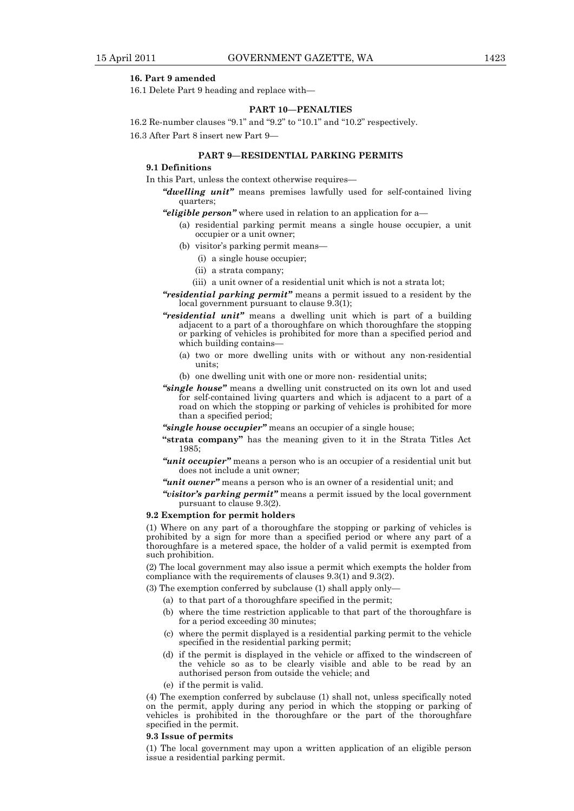#### **16. Part 9 amended**

16.1 Delete Part 9 heading and replace with—

#### **PART 10—PENALTIES**

16.2 Re-number clauses "9.1" and "9.2" to "10.1" and "10.2" respectively. 16.3 After Part 8 insert new Part 9—

#### **PART 9—RESIDENTIAL PARKING PERMITS**

#### **9.1 Definitions**

In this Part, unless the context otherwise requires—

*"dwelling unit"* means premises lawfully used for self-contained living quarters;

#### *"eligible person"* where used in relation to an application for a—

- (a) residential parking permit means a single house occupier, a unit occupier or a unit owner;
- (b) visitor's parking permit means—
	- (i) a single house occupier;
	- (ii) a strata company;
	- (iii) a unit owner of a residential unit which is not a strata lot;
- *"residential parking permit"* means a permit issued to a resident by the local government pursuant to clause 9.3(1);
- *"residential unit"* means a dwelling unit which is part of a building adjacent to a part of a thoroughfare on which thoroughfare the stopping or parking of vehicles is prohibited for more than a specified period and which building contains-
	- (a) two or more dwelling units with or without any non-residential units;
	- (b) one dwelling unit with one or more non- residential units;
- *"single house"* means a dwelling unit constructed on its own lot and used for self-contained living quarters and which is adjacent to a part of a road on which the stopping or parking of vehicles is prohibited for more than a specified period;
- *"single house occupier"* means an occupier of a single house;
- **"strata company"** has the meaning given to it in the Strata Titles Act 1985;
- *"unit occupier"* means a person who is an occupier of a residential unit but does not include a unit owner;
- *"unit owner"* means a person who is an owner of a residential unit; and
- *"visitor's parking permit"* means a permit issued by the local government pursuant to clause 9.3(2).

#### **9.2 Exemption for permit holders**

(1) Where on any part of a thoroughfare the stopping or parking of vehicles is prohibited by a sign for more than a specified period or where any part of a thoroughfare is a metered space, the holder of a valid permit is exempted from such prohibition.

(2) The local government may also issue a permit which exempts the holder from compliance with the requirements of clauses 9.3(1) and 9.3(2).

- (3) The exemption conferred by subclause (1) shall apply only—
	- (a) to that part of a thoroughfare specified in the permit;
	- (b) where the time restriction applicable to that part of the thoroughfare is for a period exceeding 30 minutes;
	- (c) where the permit displayed is a residential parking permit to the vehicle specified in the residential parking permit;
- (d) if the permit is displayed in the vehicle or affixed to the windscreen of the vehicle so as to be clearly visible and able to be read by an authorised person from outside the vehicle; and
	- (e) if the permit is valid.

(4) The exemption conferred by subclause (1) shall not, unless specifically noted on the permit, apply during any period in which the stopping or parking of vehicles is prohibited in the thoroughfare or the part of the thoroughfare specified in the permit.

#### **9.3 Issue of permits**

(1) The local government may upon a written application of an eligible person issue a residential parking permit.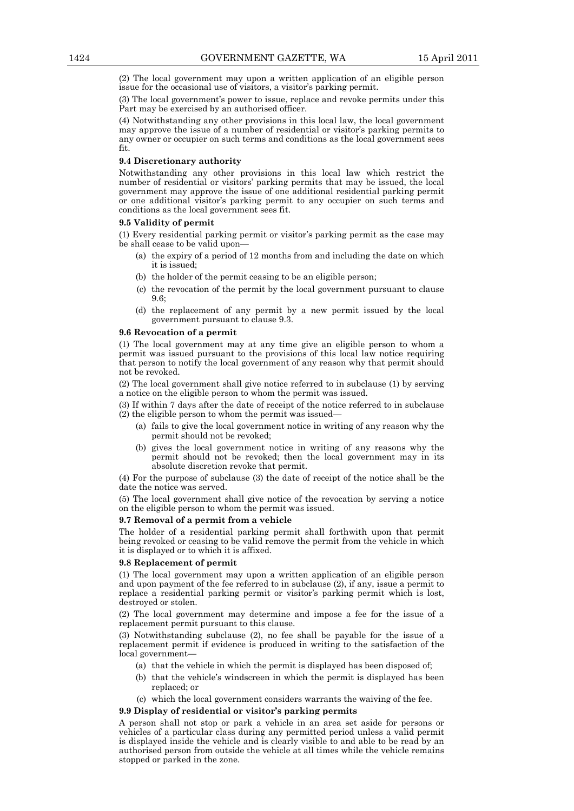(2) The local government may upon a written application of an eligible person issue for the occasional use of visitors, a visitor's parking permit.

(3) The local government's power to issue, replace and revoke permits under this Part may be exercised by an authorised officer.

(4) Notwithstanding any other provisions in this local law, the local government may approve the issue of a number of residential or visitor's parking permits to any owner or occupier on such terms and conditions as the local government sees fit.

#### **9.4 Discretionary authority**

Notwithstanding any other provisions in this local law which restrict the number of residential or visitors' parking permits that may be issued, the local government may approve the issue of one additional residential parking permit or one additional visitor's parking permit to any occupier on such terms and conditions as the local government sees fit.

#### **9.5 Validity of permit**

(1) Every residential parking permit or visitor's parking permit as the case may be shall cease to be valid upon—

- (a) the expiry of a period of 12 months from and including the date on which it is issued;
- (b) the holder of the permit ceasing to be an eligible person;
- (c) the revocation of the permit by the local government pursuant to clause 9.6;
- (d) the replacement of any permit by a new permit issued by the local government pursuant to clause 9.3.

#### **9.6 Revocation of a permit**

(1) The local government may at any time give an eligible person to whom a permit was issued pursuant to the provisions of this local law notice requiring that person to notify the local government of any reason why that permit should not be revoked.

(2) The local government shall give notice referred to in subclause (1) by serving a notice on the eligible person to whom the permit was issued.

(3) If within 7 days after the date of receipt of the notice referred to in subclause (2) the eligible person to whom the permit was issued—

- (a) fails to give the local government notice in writing of any reason why the permit should not be revoked;
- (b) gives the local government notice in writing of any reasons why the permit should not be revoked; then the local government may in its absolute discretion revoke that permit.

(4) For the purpose of subclause (3) the date of receipt of the notice shall be the date the notice was served.

(5) The local government shall give notice of the revocation by serving a notice on the eligible person to whom the permit was issued.

#### **9.7 Removal of a permit from a vehicle**

The holder of a residential parking permit shall forthwith upon that permit being revoked or ceasing to be valid remove the permit from the vehicle in which it is displayed or to which it is affixed.

#### **9.8 Replacement of permit**

(1) The local government may upon a written application of an eligible person and upon payment of the fee referred to in subclause (2), if any, issue a permit to replace a residential parking permit or visitor's parking permit which is lost, destroyed or stolen.

(2) The local government may determine and impose a fee for the issue of a replacement permit pursuant to this clause.

(3) Notwithstanding subclause (2), no fee shall be payable for the issue of a replacement permit if evidence is produced in writing to the satisfaction of the local government—

- (a) that the vehicle in which the permit is displayed has been disposed of;
- (b) that the vehicle's windscreen in which the permit is displayed has been replaced; or
- (c) which the local government considers warrants the waiving of the fee.

#### **9.9 Display of residential or visitor's parking permits**

A person shall not stop or park a vehicle in an area set aside for persons or vehicles of a particular class during any permitted period unless a valid permit is displayed inside the vehicle and is clearly visible to and able to be read by an authorised person from outside the vehicle at all times while the vehicle remains stopped or parked in the zone.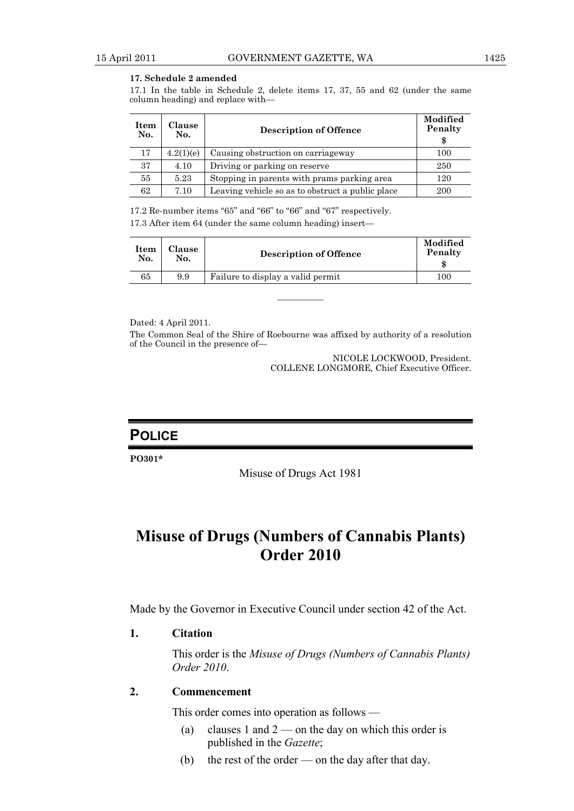#### **17. Schedule 2 amended**

17.1 In the table in Schedule 2, delete items 17, 37, 55 and 62 (under the same column heading) and replace with—

| <b>Item</b><br>No. | <b>Clause</b><br>No. | <b>Description of Offence</b>                    | Modified<br>Penalty<br>\$ |
|--------------------|----------------------|--------------------------------------------------|---------------------------|
| 17                 | 4.2(1)(e)            | Causing obstruction on carriageway               | 100                       |
| 37                 | 4.10                 | Driving or parking on reserve                    | 250                       |
| 55                 | 5.23                 | Stopping in parents with prams parking area      | 120                       |
| 62                 | 7.10                 | Leaving vehicle so as to obstruct a public place | 200                       |

17.2 Re-number items "65" and "66" to "66" and "67" respectively.

17.3 After item 64 (under the same column heading) insert—

| <b>Clause</b><br>Item<br>No.<br>No. | <b>Description of Offence</b>     | Modified<br>Penalty |
|-------------------------------------|-----------------------------------|---------------------|
| 65<br>9.9                           | Failure to display a valid permit | 100                 |

Dated: 4 April 2011.

The Common Seal of the Shire of Roebourne was affixed by authority of a resolution of the Council in the presence of—

————

NICOLE LOCKWOOD, President. COLLENE LONGMORE, Chief Executive Officer.

### **POLICE**

**PO301\*** 

Misuse of Drugs Act 1981

## **Misuse of Drugs (Numbers of Cannabis Plants) Order 2010**

Made by the Governor in Executive Council under section 42 of the Act.

### **1. Citation**

 This order is the *Misuse of Drugs (Numbers of Cannabis Plants) Order 2010*.

### **2. Commencement**

This order comes into operation as follows —

- (a) clauses 1 and  $2$  on the day on which this order is published in the *Gazette*;
- (b) the rest of the order on the day after that day.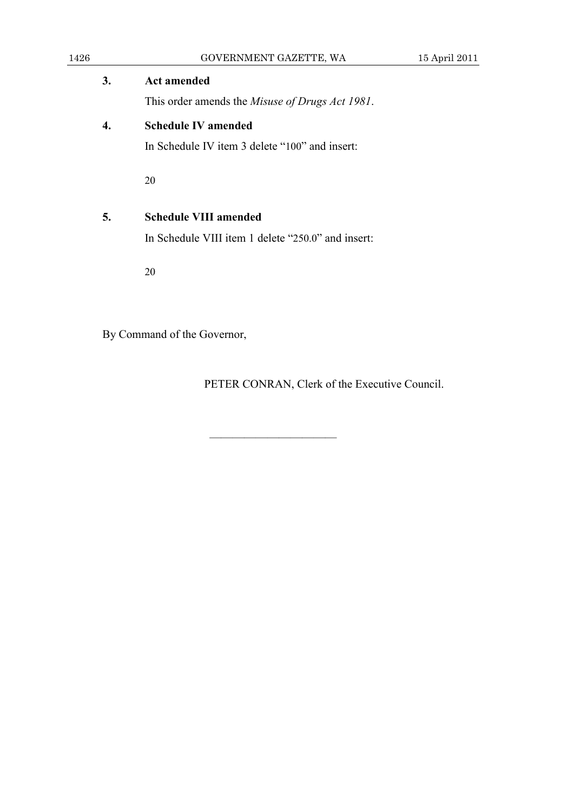| 1426 | GOVERNMENT GAZETTE, WA                                  | 15 April 2011 |
|------|---------------------------------------------------------|---------------|
| 3.   | <b>Act amended</b>                                      |               |
|      | This order amends the <i>Misuse of Drugs Act 1981</i> . |               |
| 4.   | <b>Schedule IV amended</b>                              |               |
|      | In Schedule IV item 3 delete "100" and insert:          |               |
|      | 20                                                      |               |
| 5.   | <b>Schedule VIII amended</b>                            |               |
|      | In Schedule VIII item 1 delete "250.0" and insert:      |               |
|      | 20                                                      |               |
|      |                                                         |               |
|      |                                                         |               |

———————————

By Command of the Governor,

PETER CONRAN, Clerk of the Executive Council.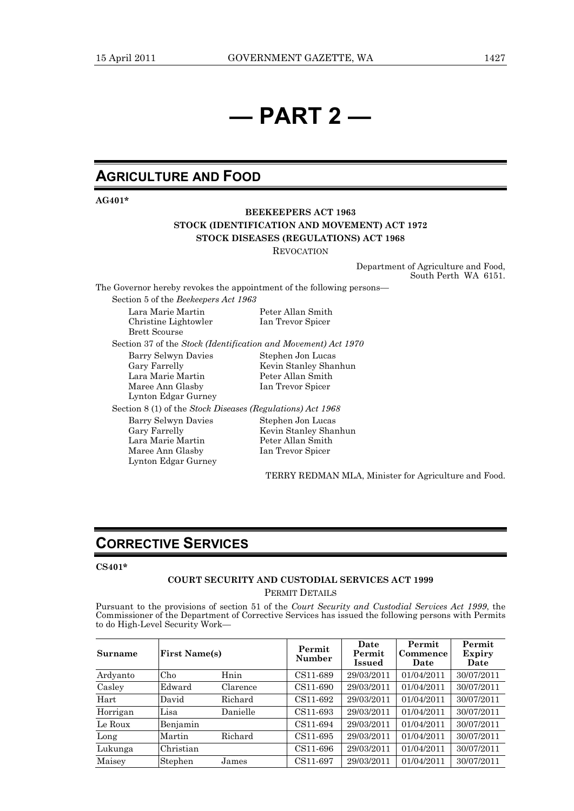# **— PART 2 —**

### **AGRICULTURE AND FOOD**

**AG401\*** 

### **BEEKEEPERS ACT 1963 STOCK (IDENTIFICATION AND MOVEMENT) ACT 1972 STOCK DISEASES (REGULATIONS) ACT 1968**

**REVOCATION** 

Department of Agriculture and Food, South Perth WA 6151.

The Governor hereby revokes the appointment of the following persons—

Section 5 of the *Beekeepers Act 1963*

Lara Marie Martin Peter Allan Smith Christine Lightowler Ian Trevor Spicer Brett Scourse

Section 37 of the *Stock (Identification and Movement) Act 1970*

Barry Selwyn Davies Stephen Jon Lucas<br>Gary Farrelly Stevin Stanley Sha Lara Marie Martin Maree Ann Glasby Ian Trevor Spicer Lynton Edgar Gurney

Kevin Stanley Shanhun<br>Peter Allan Smith

Section 8 (1) of the *Stock Diseases (Regulations) Act 1968* Barry Selwyn Davies Stephen Jon Lucas<br>Gary Farrelly Shang Kevin Stanley Shan Kevin Stanley Shanhun Lara Marie Martin Peter Allan Smith Maree Ann Glasby Ian Trevor Spicer Lynton Edgar Gurney

TERRY REDMAN MLA, Minister for Agriculture and Food.

### **CORRECTIVE SERVICES**

#### **CS401\***

#### **COURT SECURITY AND CUSTODIAL SERVICES ACT 1999**  PERMIT DETAILS

Pursuant to the provisions of section 51 of the *Court Security and Custodial Services Act 1999*, the Commissioner of the Department of Corrective Services has issued the following persons with Permits to do High-Level Security Work-

| Surname  | <b>First Name(s)</b> |          | Permit<br>Number | Date<br>Permit<br>Issued | Permit<br>Commence<br>Date | Permit<br>Expiry<br>Date |
|----------|----------------------|----------|------------------|--------------------------|----------------------------|--------------------------|
| Ardyanto | Ch <sub>0</sub>      | Hnin     | CS11-689         | 29/03/2011               | 01/04/2011                 | 30/07/2011               |
| Casley   | Edward               | Clarence | CS11-690         | 29/03/2011               | 01/04/2011                 | 30/07/2011               |
| Hart     | David                | Richard  | CS11-692         | 29/03/2011               | 01/04/2011                 | 30/07/2011               |
| Horrigan | Lisa                 | Danielle | CS11-693         | 29/03/2011               | 01/04/2011                 | 30/07/2011               |
| Le Roux  | Benjamin             |          | CS11-694         | 29/03/2011               | 01/04/2011                 | 30/07/2011               |
| Long     | Martin               | Richard  | CS11-695         | 29/03/2011               | 01/04/2011                 | 30/07/2011               |
| Lukunga  | Christian            |          | CS11-696         | 29/03/2011               | 01/04/2011                 | 30/07/2011               |
| Maisey   | Stephen              | James    | CS11-697         | 29/03/2011               | 01/04/2011                 | 30/07/2011               |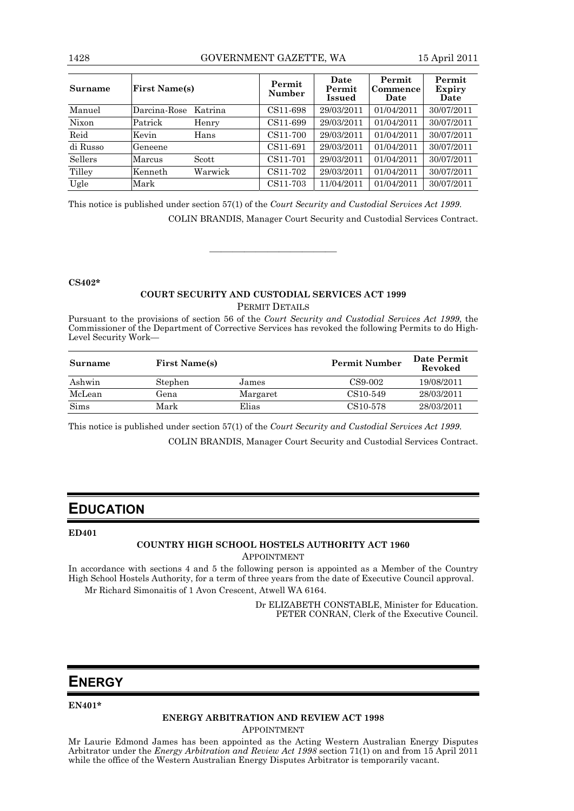#### 1428 GOVERNMENT GAZETTE, WA 15 April 2011

| Surname        | <b>First Name(s)</b> |         | Permit<br>Number | Date<br>Permit<br>Issued | Permit<br>Commence<br>Date | Permit<br>Expiry<br>Date |
|----------------|----------------------|---------|------------------|--------------------------|----------------------------|--------------------------|
| Manuel         | Darcina-Rose         | Katrina | CS11-698         | 29/03/2011               | 01/04/2011                 | 30/07/2011               |
| Nixon          | Patrick              | Henry   | CS11-699         | 29/03/2011               | 01/04/2011                 | 30/07/2011               |
| Reid           | Kevin                | Hans    | CS11-700         | 29/03/2011               | 01/04/2011                 | 30/07/2011               |
| di Russo       | Geneene              |         | CS11-691         | 29/03/2011               | 01/04/2011                 | 30/07/2011               |
| <b>Sellers</b> | Marcus               | Scott   | CS11-701         | 29/03/2011               | 01/04/2011                 | 30/07/2011               |
| Tilley         | Kenneth              | Warwick | CS11-702         | 29/03/2011               | 01/04/2011                 | 30/07/2011               |
| Ugle           | Mark                 |         | CS11-703         | 11/04/2011               | 01/04/2011                 | 30/07/2011               |

This notice is published under section 57(1) of the *Court Security and Custodial Services Act 1999*. COLIN BRANDIS, Manager Court Security and Custodial Services Contract.

#### **CS402\***

### **COURT SECURITY AND CUSTODIAL SERVICES ACT 1999**  PERMIT DETAILS

———————————

Pursuant to the provisions of section 56 of the *Court Security and Custodial Services Act 1999*, the Commissioner of the Department of Corrective Services has revoked the following Permits to do High-Level Security Work—

| <b>Surname</b> | <b>First Name(s)</b> |          | <b>Permit Number</b>  | Date Permit<br>Revoked |
|----------------|----------------------|----------|-----------------------|------------------------|
| Ashwin         | Stephen              | James    | CS9-002               | 19/08/2011             |
| McLean         | Gena                 | Margaret | CS10-549              | 28/03/2011             |
| <b>Sims</b>    | Mark                 | Elias    | CS <sub>10</sub> -578 | 28/03/2011             |

This notice is published under section 57(1) of the *Court Security and Custodial Services Act 1999*.

COLIN BRANDIS, Manager Court Security and Custodial Services Contract.

### **EDUCATION**

#### **ED401**

#### **COUNTRY HIGH SCHOOL HOSTELS AUTHORITY ACT 1960**

APPOINTMENT

In accordance with sections 4 and 5 the following person is appointed as a Member of the Country High School Hostels Authority, for a term of three years from the date of Executive Council approval. Mr Richard Simonaitis of 1 Avon Crescent, Atwell WA 6164.

> Dr ELIZABETH CONSTABLE, Minister for Education. PETER CONRAN, Clerk of the Executive Council.

### **ENERGY**

#### **EN401\***

### **ENERGY ARBITRATION AND REVIEW ACT 1998**

APPOINTMENT

Mr Laurie Edmond James has been appointed as the Acting Western Australian Energy Disputes Arbitrator under the *Energy Arbitration and Review Act 1998* section 71(1) on and from 15 April 2011 while the office of the Western Australian Energy Disputes Arbitrator is temporarily vacant.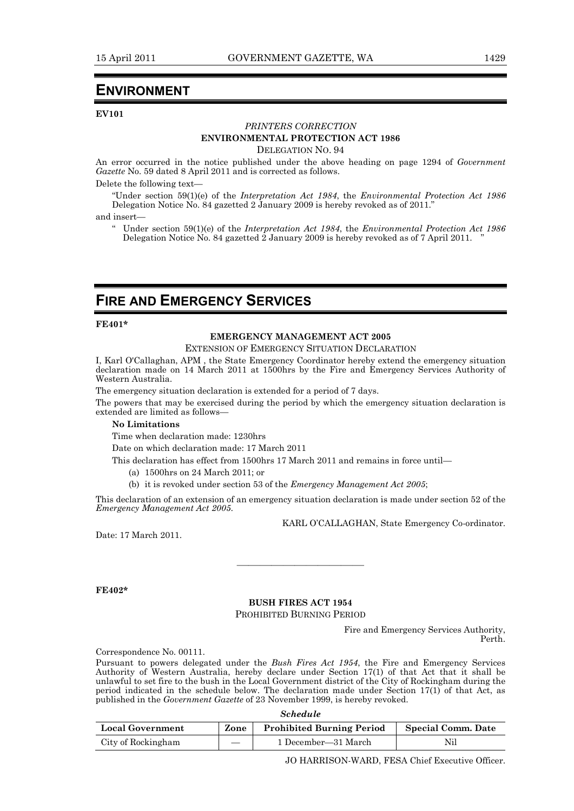### **ENVIRONMENT**

#### **EV101**

#### *PRINTERS CORRECTION*  **ENVIRONMENTAL PROTECTION ACT 1986**

DELEGATION NO. 94

An error occurred in the notice published under the above heading on page 1294 of *Government Gazette* No. 59 dated 8 April 2011 and is corrected as follows.

Delete the following text—

"Under section 59(1)(e) of the *Interpretation Act 1984*, the *Environmental Protection Act 1986* Delegation Notice No. 84 gazetted 2 January 2009 is hereby revoked as of 2011.'

and insert—

" Under section 59(1)(e) of the *Interpretation Act 1984*, the *Environmental Protection Act 1986* Delegation Notice No. 84 gazetted  $\hat{2}$  January 2009 is hereby revoked as of 7 April 2011.

### **FIRE AND EMERGENCY SERVICES**

#### **FE401\***

### **EMERGENCY MANAGEMENT ACT 2005**

EXTENSION OF EMERGENCY SITUATION DECLARATION

I, Karl O'Callaghan, APM , the State Emergency Coordinator hereby extend the emergency situation declaration made on 14 March 2011 at 1500hrs by the Fire and Emergency Services Authority of Western Australia.

The emergency situation declaration is extended for a period of 7 days.

The powers that may be exercised during the period by which the emergency situation declaration is extended are limited as follows—

#### **No Limitations**

Time when declaration made: 1230hrs

Date on which declaration made: 17 March 2011

This declaration has effect from 1500hrs 17 March 2011 and remains in force until—

- (a) 1500hrs on 24 March 2011; or
- (b) it is revoked under section 53 of the *Emergency Management Act 2005*;

This declaration of an extension of an emergency situation declaration is made under section 52 of the *Emergency Management Act 2005*.

KARL O'CALLAGHAN, State Emergency Co-ordinator.

Date: 17 March 2011.

**FE402\*** 

#### **BUSH FIRES ACT 1954**  PROHIBITED BURNING PERIOD

———————————

Fire and Emergency Services Authority, Perth.

Correspondence No. 00111.

Pursuant to powers delegated under the *Bush Fires Act 1954*, the Fire and Emergency Services Authority of Western Australia, hereby declare under Section 17(1) of that Act that it shall be unlawful to set fire to the bush in the Local Government district of the City of Rockingham during the period indicated in the schedule below. The declaration made under Section  $17(1)$  of that Act, as published in the *Government Gazette* of 23 November 1999, is hereby revoked.

*Schedule* 

| <b>Local Government</b> | Zone | <b>Prohibited Burning Period</b> | Special Comm. Date |
|-------------------------|------|----------------------------------|--------------------|
| City of Rockingham      |      | 1 December—31 March              | Nil                |

JO HARRISON-WARD, FESA Chief Executive Officer.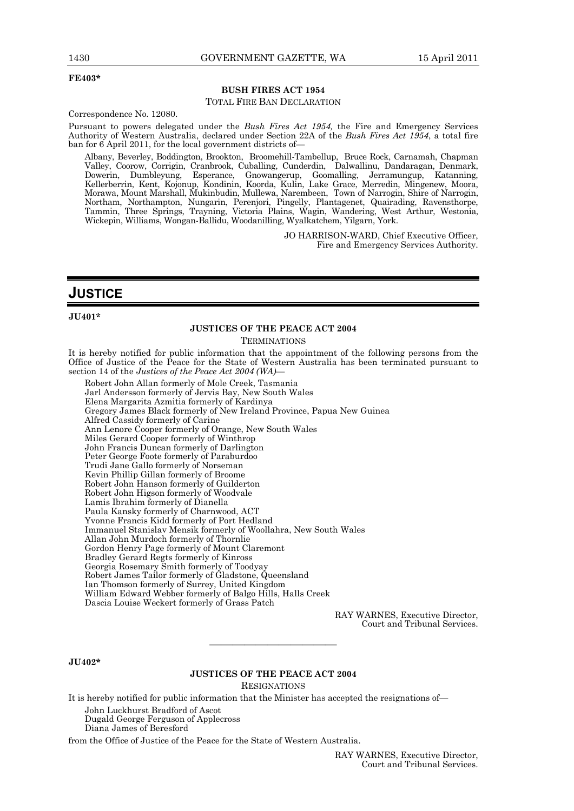#### **FE403\***

#### **BUSH FIRES ACT 1954**

#### TOTAL FIRE BAN DECLARATION

Correspondence No. 12080.

Pursuant to powers delegated under the *Bush Fires Act 1954,* the Fire and Emergency Services Authority of Western Australia, declared under Section 22A of the *Bush Fires Act 1954*, a total fire ban for 6 April 2011, for the local government districts of—

Albany, Beverley, Boddington, Brookton, Broomehill-Tambellup, Bruce Rock, Carnamah, Chapman Valley, Coorow, Corrigin, Cranbrook, Cuballing, Cunderdin, Dalwallinu, Dandaragan, Denmark, Dowerin, Dumbleyung, Esperance, Gnowangerup, Goomalling, Jerramungup, Katanning, Kellerberrin, Kent, Kojonup, Kondinin, Koorda, Kulin, Lake Grace, Merredin, Mingenew, Moora, Morawa, Mount Marshall, Mukinbudin, Mullewa, Narembeen, Town of Narrogin, Shire of Narrogin, Northam, Northampton, Nungarin, Perenjori, Pingelly, Plantagenet, Quairading, Ravensthorpe, Tammin, Three Springs, Trayning, Victoria Plains, Wagin, Wandering, West Arthur, Westonia, Wickepin, Williams, Wongan-Ballidu, Woodanilling, Wyalkatchem, Yilgarn, York.

> JO HARRISON-WARD, Chief Executive Officer, Fire and Emergency Services Authority.

### **JUSTICE**

#### **JU401\***

#### **JUSTICES OF THE PEACE ACT 2004**

**TERMINATIONS** 

It is hereby notified for public information that the appointment of the following persons from the Office of Justice of the Peace for the State of Western Australia has been terminated pursuant to section 14 of the *Justices of the Peace Act 2004 (WA)—* 

Robert John Allan formerly of Mole Creek, Tasmania Jarl Andersson formerly of Jervis Bay, New South Wales Elena Margarita Azmitia formerly of Kardinya Gregory James Black formerly of New Ireland Province, Papua New Guinea Alfred Cassidy formerly of Carine Ann Lenore Cooper formerly of Orange, New South Wales Miles Gerard Cooper formerly of Winthrop John Francis Duncan formerly of Darlington Peter George Foote formerly of Paraburdoo Trudi Jane Gallo formerly of Norseman Kevin Phillip Gillan formerly of Broome Robert John Hanson formerly of Guilderton Robert John Higson formerly of Woodvale Lamis Ibrahim formerly of Dianella Paula Kansky formerly of Charnwood, ACT Yvonne Francis Kidd formerly of Port Hedland Immanuel Stanislav Mensik formerly of Woollahra, New South Wales Allan John Murdoch formerly of Thornlie Gordon Henry Page formerly of Mount Claremont Bradley Gerard Regts formerly of Kinross Georgia Rosemary Smith formerly of Toodyay Robert James Tailor formerly of Gladstone, Queensland Ian Thomson formerly of Surrey, United Kingdom William Edward Webber formerly of Balgo Hills, Halls Creek Dascia Louise Weckert formerly of Grass Patch

> RAY WARNES, Executive Director, Court and Tribunal Services.

**JU402\*** 

#### **JUSTICES OF THE PEACE ACT 2004**

———————————

**RESIGNATIONS** 

It is hereby notified for public information that the Minister has accepted the resignations of—

John Luckhurst Bradford of Ascot Dugald George Ferguson of Applecross

Diana James of Beresford

from the Office of Justice of the Peace for the State of Western Australia.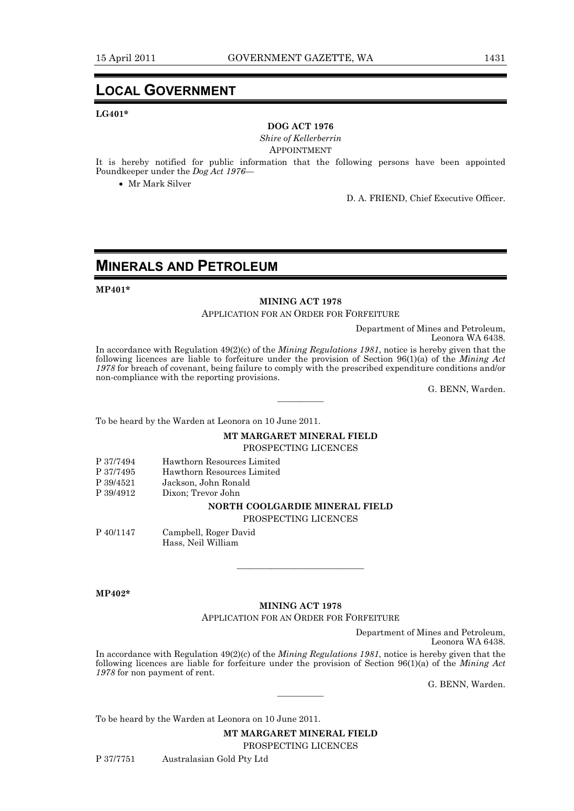### **LOCAL GOVERNMENT**

#### **LG401\***

#### **DOG ACT 1976**

*Shire of Kellerberrin*  APPOINTMENT

It is hereby notified for public information that the following persons have been appointed Poundkeeper under the *Dog Act 1976*—

Mr Mark Silver

D. A. FRIEND, Chief Executive Officer.

### **MINERALS AND PETROLEUM**

**MP401\*** 

#### **MINING ACT 1978**

APPLICATION FOR AN ORDER FOR FORFEITURE

Department of Mines and Petroleum,

Leonora WA 6438.

In accordance with Regulation 49(2)(c) of the *Mining Regulations 1981*, notice is hereby given that the following licences are liable to forfeiture under the provision of Section 96(1)(a) of the *Mining Act 1978* for breach of covenant, being failure to comply with the prescribed expenditure conditions and/or non-compliance with the reporting provisions.

————

G. BENN, Warden.

To be heard by the Warden at Leonora on 10 June 2011.

#### **MT MARGARET MINERAL FIELD**

PROSPECTING LICENCES

| P 37/7494 | Hawthorn Resources Limited     |
|-----------|--------------------------------|
| P 37/7495 | Hawthorn Resources Limited     |
| P 39/4521 | Jackson, John Ronald           |
| P 39/4912 | Dixon: Trevor John             |
|           | NORTH COOLGARDIE MINERAL FIELD |
|           | DDOODDOODIIO I IODIIODO        |

### PROSPECTING LICENCES

P 40/1147 Campbell, Roger David

Hass, Neil William

**MP402\*** 

### **MINING ACT 1978**

APPLICATION FOR AN ORDER FOR FORFEITURE

———————————

Department of Mines and Petroleum,

Leonora WA 6438.

In accordance with Regulation 49(2)(c) of the *Mining Regulations 1981*, notice is hereby given that the following licences are liable for forfeiture under the provision of Section 96(1)(a) of the *Mining Act 1978* for non payment of rent.

————

G. BENN, Warden.

To be heard by the Warden at Leonora on 10 June 2011.

**MT MARGARET MINERAL FIELD**  PROSPECTING LICENCES

P 37/7751 Australasian Gold Pty Ltd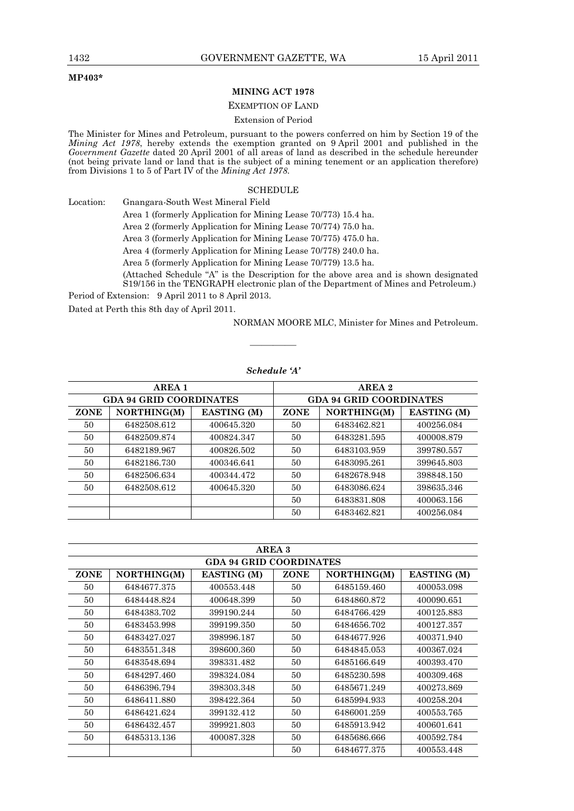#### **MP403\***

#### **MINING ACT 1978**

#### EXEMPTION OF LAND

#### Extension of Period

The Minister for Mines and Petroleum, pursuant to the powers conferred on him by Section 19 of the *Mining Act 1978*, hereby extends the exemption granted on 9 April 2001 and published in the *Government Gazette* dated 20 April 2001 of all areas of land as described in the schedule hereunder (not being private land or land that is the subject of a mining tenement or an application therefore) from Divisions 1 to 5 of Part IV of the *Mining Act 1978*.

#### **SCHEDULE**

Location: Gnangara-South West Mineral Field

Area 1 (formerly Application for Mining Lease 70/773) 15.4 ha.

Area 2 (formerly Application for Mining Lease 70/774) 75.0 ha.

Area 3 (formerly Application for Mining Lease 70/775) 475.0 ha.

Area 4 (formerly Application for Mining Lease 70/778) 240.0 ha.

Area 5 (formerly Application for Mining Lease 70/779) 13.5 ha.

 (Attached Schedule "A" is the Description for the above area and is shown designated S19/156 in the TENGRAPH electronic plan of the Department of Mines and Petroleum.)

Period of Extension: 9 April 2011 to 8 April 2013.

Dated at Perth this 8th day of April 2011.

NORMAN MOORE MLC, Minister for Mines and Petroleum.

|             | <b>AREA 1</b>                  |             |                                | AREA 2      |                    |  |
|-------------|--------------------------------|-------------|--------------------------------|-------------|--------------------|--|
|             | <b>GDA 94 GRID COORDINATES</b> |             | <b>GDA 94 GRID COORDINATES</b> |             |                    |  |
| <b>ZONE</b> | NORTHING(M)                    | EASTING (M) | <b>ZONE</b>                    | NORTHING(M) | <b>EASTING</b> (M) |  |
| 50          | 6482508.612                    | 400645.320  | 50                             | 6483462.821 | 400256.084         |  |
| 50          | 6482509.874                    | 400824.347  | 50                             | 6483281.595 | 400008.879         |  |
| 50          | 6482189.967                    | 400826.502  | 50                             | 6483103.959 | 399780.557         |  |
| 50          | 6482186.730                    | 400346.641  | 50                             | 6483095.261 | 399645.803         |  |
| 50          | 6482506.634                    | 400344.472  | 50                             | 6482678.948 | 398848.150         |  |
| 50          | 6482508.612                    | 400645.320  | 50                             | 6483086.624 | 398635.346         |  |
|             |                                |             | 50                             | 6483831.808 | 400063.156         |  |
|             |                                |             | 50                             | 6483462.821 | 400256.084         |  |

#### *Schedule 'A'*

————

|             |             |                                | AREA 3      |             |                    |
|-------------|-------------|--------------------------------|-------------|-------------|--------------------|
|             |             | <b>GDA 94 GRID COORDINATES</b> |             |             |                    |
| <b>ZONE</b> | NORTHING(M) | EASTING (M)                    | <b>ZONE</b> | NORTHING(M) | <b>EASTING</b> (M) |
| 50          | 6484677.375 | 400553.448                     | 50          | 6485159.460 | 400053.098         |
| 50          | 6484448.824 | 400648.399                     | 50          | 6484860.872 | 400090.651         |
| 50          | 6484383.702 | 399190.244                     | 50          | 6484766.429 | 400125.883         |
| 50          | 6483453.998 | 399199.350                     | 50          | 6484656.702 | 400127.357         |
| 50          | 6483427.027 | 398996.187                     | 50          | 6484677.926 | 400371.940         |
| 50          | 6483551.348 | 398600.360                     | 50          | 6484845.053 | 400367.024         |
| 50          | 6483548.694 | 398331.482                     | 50          | 6485166.649 | 400393.470         |
| 50          | 6484297.460 | 398324.084                     | 50          | 6485230.598 | 400309.468         |
| 50          | 6486396.794 | 398303.348                     | 50          | 6485671.249 | 400273.869         |
| 50          | 6486411.880 | 398422.364                     | 50          | 6485994.933 | 400258.204         |
| 50          | 6486421.624 | 399132.412                     | 50          | 6486001.259 | 400553.765         |
| 50          | 6486432.457 | 399921.803                     | 50          | 6485913.942 | 400601.641         |
| 50          | 6485313.136 | 400087.328                     | 50          | 6485686.666 | 400592.784         |
|             |             |                                | 50          | 6484677.375 | 400553.448         |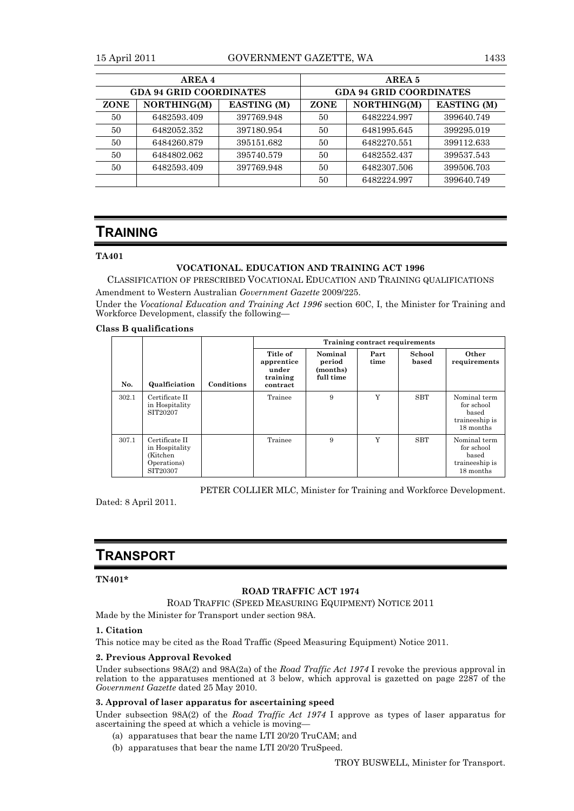#### 15 April 2011 GOVERNMENT GAZETTE, WA 1433

|                                | AREA 4      |                    | AREA 5                                           |             |            |  |
|--------------------------------|-------------|--------------------|--------------------------------------------------|-------------|------------|--|
| <b>GDA 94 GRID COORDINATES</b> |             |                    | <b>GDA 94 GRID COORDINATES</b>                   |             |            |  |
| <b>ZONE</b>                    | NORTHING(M) | <b>EASTING</b> (M) | NORTHING(M)<br><b>EASTING</b> (M)<br><b>ZONE</b> |             |            |  |
| 50                             | 6482593.409 | 397769.948         | 50                                               | 6482224.997 | 399640.749 |  |
| 50                             | 6482052.352 | 397180.954         | 50                                               | 6481995.645 | 399295.019 |  |
| 50                             | 6484260.879 | 395151.682         | 50                                               | 6482270.551 | 399112.633 |  |
| 50                             | 6484802.062 | 395740.579         | 50                                               | 6482552.437 | 399537.543 |  |
| 50                             | 6482593.409 | 397769.948         | 50                                               | 6482307.506 | 399506.703 |  |
|                                |             |                    | 50                                               | 6482224.997 | 399640.749 |  |

### **TRAINING**

#### **TA401**

#### **VOCATIONAL. EDUCATION AND TRAINING ACT 1996**

CLASSIFICATION OF PRESCRIBED VOCATIONAL EDUCATION AND TRAINING QUALIFICATIONS Amendment to Western Australian *Government Gazette* 2009/225.

Under the *Vocational Education and Training Act 1996* section 60C, I, the Minister for Training and Workforce Development, classify the following—

#### **Class B qualifications**

|       |                                                                         |            |                                                         |                                            | Training contract requirements |                 |                                                                    |
|-------|-------------------------------------------------------------------------|------------|---------------------------------------------------------|--------------------------------------------|--------------------------------|-----------------|--------------------------------------------------------------------|
| No.   | Qualficiation                                                           | Conditions | Title of<br>apprentice<br>under<br>training<br>contract | Nominal<br>period<br>(months)<br>full time | Part<br>time                   | School<br>based | Other<br>requirements                                              |
| 302.1 | Certificate II<br>in Hospitality<br>SIT20207                            |            | Trainee                                                 | 9                                          | Y                              | <b>SBT</b>      | Nominal term<br>for school<br>based<br>traineeship is<br>18 months |
| 307.1 | Certificate II<br>in Hospitality<br>(Kitchen<br>Operations)<br>SIT20307 |            | Trainee                                                 | 9                                          | Y                              | <b>SBT</b>      | Nominal term<br>for school<br>based<br>traineeship is<br>18 months |

PETER COLLIER MLC, Minister for Training and Workforce Development.

Dated: 8 April 2011.

### **TRANSPORT**

#### **TN401\***

#### **ROAD TRAFFIC ACT 1974**

ROAD TRAFFIC (SPEED MEASURING EQUIPMENT) NOTICE 2011

Made by the Minister for Transport under section 98A.

#### **1. Citation**

This notice may be cited as the Road Traffic (Speed Measuring Equipment) Notice 2011.

#### **2. Previous Approval Revoked**

Under subsections 98A(2) and 98A(2a) of the *Road Traffic Act 1974* I revoke the previous approval in relation to the apparatuses mentioned at 3 below, which approval is gazetted on page 2287 of the *Government Gazette* dated 25 May 2010.

#### **3. Approval of laser apparatus for ascertaining speed**

Under subsection 98A(2) of the *Road Traffic Act 1974* I approve as types of laser apparatus for ascertaining the speed at which a vehicle is moving—

- (a) apparatuses that bear the name LTI 20/20 TruCAM; and
- (b) apparatuses that bear the name LTI 20/20 TruSpeed.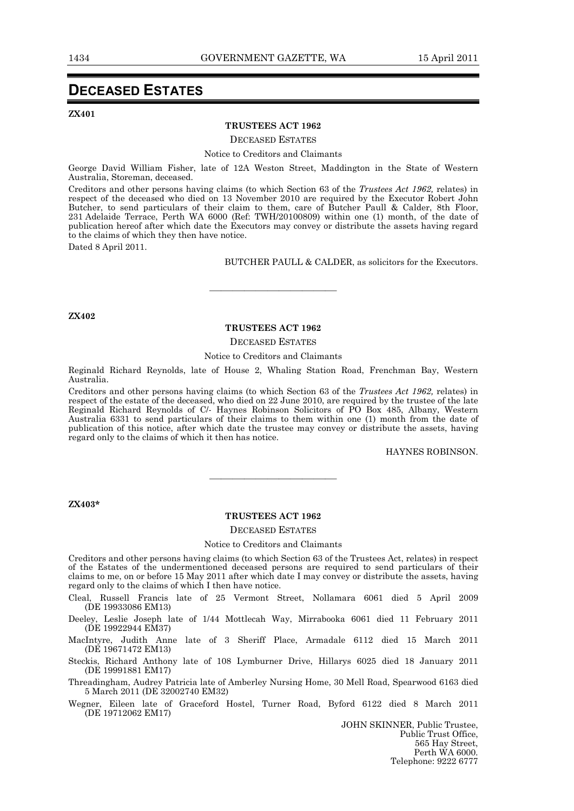### **DECEASED ESTATES**

**ZX401** 

#### **TRUSTEES ACT 1962**

DECEASED ESTATES

#### Notice to Creditors and Claimants

George David William Fisher, late of 12A Weston Street, Maddington in the State of Western Australia, Storeman, deceased.

Creditors and other persons having claims (to which Section 63 of the *Trustees Act 1962,* relates) in respect of the deceased who died on 13 November 2010 are required by the Executor Robert John Butcher, to send particulars of their claim to them, care of Butcher Paull & Calder, 8th Floor, 231 Adelaide Terrace, Perth WA 6000 (Ref: TWH/20100809) within one (1) month, of the date of publication hereof after which date the Executors may convey or distribute the assets having regard to the claims of which they then have notice.

Dated 8 April 2011.

BUTCHER PAULL & CALDER, as solicitors for the Executors.

**ZX402** 

#### **TRUSTEES ACT 1962**

———————————

#### DECEASED ESTATES

#### Notice to Creditors and Claimants

Reginald Richard Reynolds, late of House 2, Whaling Station Road, Frenchman Bay, Western Australia.

Creditors and other persons having claims (to which Section 63 of the *Trustees Act 1962,* relates) in respect of the estate of the deceased, who died on 22 June 2010, are required by the trustee of the late Reginald Richard Reynolds of C/- Haynes Robinson Solicitors of PO Box 485, Albany, Western Australia 6331 to send particulars of their claims to them within one (1) month from the date of publication of this notice, after which date the trustee may convey or distribute the assets, having regard only to the claims of which it then has notice.

HAYNES ROBINSON.

#### **ZX403\***

#### **TRUSTEES ACT 1962**

———————————

#### DECEASED ESTATES

#### Notice to Creditors and Claimants

Creditors and other persons having claims (to which Section 63 of the Trustees Act, relates) in respect of the Estates of the undermentioned deceased persons are required to send particulars of their claims to me, on or before 15 May 2011 after which date I may convey or distribute the assets, having regard only to the claims of which I then have notice.

Cleal, Russell Francis late of 25 Vermont Street, Nollamara 6061 died 5 April 2009 (DE 19933086 EM13)

Deeley, Leslie Joseph late of 1/44 Mottlecah Way, Mirrabooka 6061 died 11 February 2011 (DE 19922944 EM37)

MacIntyre, Judith Anne late of 3 Sheriff Place, Armadale 6112 died 15 March 2011 (DE 19671472 EM13)

Steckis, Richard Anthony late of 108 Lymburner Drive, Hillarys 6025 died 18 January 2011 (DE 19991881 EM17)

Threadingham, Audrey Patricia late of Amberley Nursing Home, 30 Mell Road, Spearwood 6163 died 5 March 2011 (DE 32002740 EM32)

Wegner, Eileen late of Graceford Hostel, Turner Road, Byford 6122 died 8 March 2011 (DE 19712062 EM17)

> JOHN SKINNER, Public Trustee, Public Trust Office, 565 Hay Street, Perth WA 6000. Telephone: 9222 6777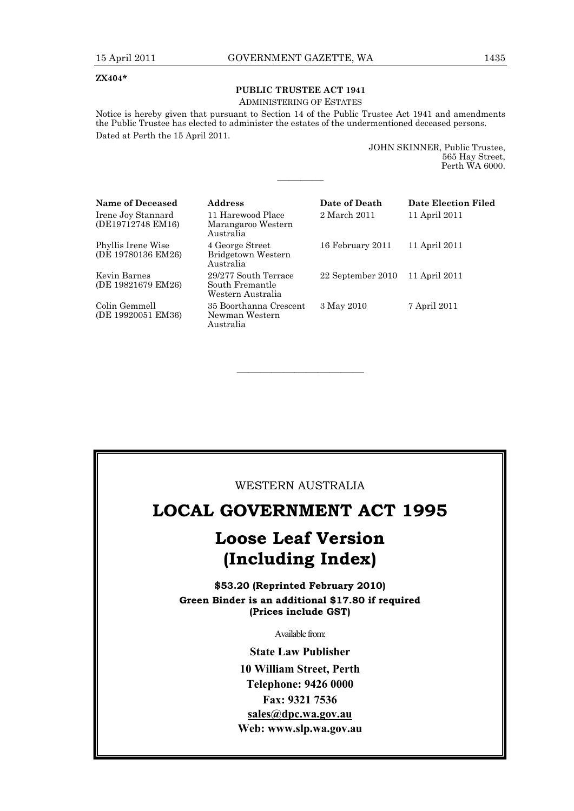#### **ZX404\***

### **PUBLIC TRUSTEE ACT 1941**

#### ADMINISTERING OF ESTATES

Notice is hereby given that pursuant to Section 14 of the Public Trustee Act 1941 and amendments the Public Trustee has elected to administer the estates of the undermentioned deceased persons. Dated at Perth the 15 April 2011.

————

| JOHN SKINNER, Public Trustee, |
|-------------------------------|
| 565 Hay Street.               |
| Perth WA 6000.                |

| <b>Name of Deceased</b>                  | <b>Address</b>                                               | Date of Death     | Date Election Filed |
|------------------------------------------|--------------------------------------------------------------|-------------------|---------------------|
| Irene Joy Stannard<br>(DE19712748 EM16)  | 11 Harewood Place<br>Marangaroo Western<br>Australia         | 2 March 2011      | 11 April 2011       |
| Phyllis Irene Wise<br>(DE 19780136 EM26) | 4 George Street<br>Bridgetown Western<br>Australia           | 16 February 2011  | 11 April 2011       |
| Kevin Barnes<br>(DE 19821679 EM26)       | 29/277 South Terrace<br>South Fremantle<br>Western Australia | 22 September 2010 | 11 April 2011       |
| Colin Gemmell<br>(DE 19920051 EM36)      | 35 Boorthanna Crescent<br>Newman Western<br>Australia        | 3 May 2010        | 7 April 2011        |

### WESTERN AUSTRALIA

———————————

### **LOCAL GOVERNMENT ACT 1995**

# **Loose Leaf Version (Including Index)**

**\$53.20 (Reprinted February 2010) Green Binder is an additional \$17.80 if required (Prices include GST)**

Available from:

**State Law Publisher 10 William Street, Perth Telephone: 9426 0000 Fax: 9321 7536 sales@dpc.wa.gov.au Web: www.slp.wa.gov.au**